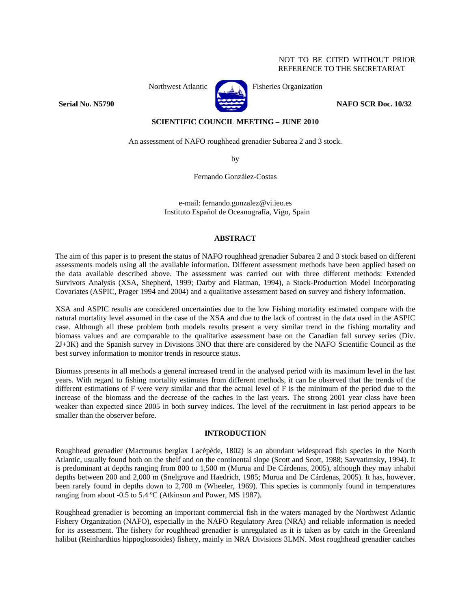# NOT TO BE CITED WITHOUT PRIOR REFERENCE TO THE SECRETARIAT



Northwest Atlantic Fisheries Organization

**Serial No. N5790 NAFO SCR Doc. 10/32** 

**SCIENTIFIC COUNCIL MEETING – JUNE 2010** 

An assessment of NAFO roughhead grenadier Subarea 2 and 3 stock.

by

Fernando González-Costas

e-mail: fernando.gonzalez@vi.ieo.es Instituto Español de Oceanografía, Vigo, Spain

# **ABSTRACT**

The aim of this paper is to present the status of NAFO roughhead grenadier Subarea 2 and 3 stock based on different assessments models using all the available information. Different assessment methods have been applied based on the data available described above. The assessment was carried out with three different methods: Extended Survivors Analysis (XSA, Shepherd, 1999; Darby and Flatman, 1994), a Stock-Production Model Incorporating Covariates (ASPIC, Prager 1994 and 2004) and a qualitative assessment based on survey and fishery information.

XSA and ASPIC results are considered uncertainties due to the low Fishing mortality estimated compare with the natural mortality level assumed in the case of the XSA and due to the lack of contrast in the data used in the ASPIC case. Although all these problem both models results present a very similar trend in the fishing mortality and biomass values and are comparable to the qualitative assessment base on the Canadian fall survey series (Div. 2J+3K) and the Spanish survey in Divisions 3NO that there are considered by the NAFO Scientific Council as the best survey information to monitor trends in resource status.

Biomass presents in all methods a general increased trend in the analysed period with its maximum level in the last years. With regard to fishing mortality estimates from different methods, it can be observed that the trends of the different estimations of F were very similar and that the actual level of F is the minimum of the period due to the increase of the biomass and the decrease of the caches in the last years. The strong 2001 year class have been weaker than expected since 2005 in both survey indices. The level of the recruitment in last period appears to be smaller than the observer before.

# **INTRODUCTION**

Roughhead grenadier (Macrourus berglax Lacépède, 1802) is an abundant widespread fish species in the North Atlantic, usually found both on the shelf and on the continental slope (Scott and Scott, 1988; Savvatimsky, 1994). It is predominant at depths ranging from 800 to 1,500 m (Murua and De Cárdenas, 2005), although they may inhabit depths between 200 and 2,000 m (Snelgrove and Haedrich, 1985; Murua and De Cárdenas, 2005). It has, however, been rarely found in depths down to 2,700 m (Wheeler, 1969). This species is commonly found in temperatures ranging from about -0.5 to 5.4 ºC (Atkinson and Power, MS 1987).

Roughhead grenadier is becoming an important commercial fish in the waters managed by the Northwest Atlantic Fishery Organization (NAFO), especially in the NAFO Regulatory Area (NRA) and reliable information is needed for its assessment. The fishery for roughhead grenadier is unregulated as it is taken as by catch in the Greenland halibut (Reinhardtius hippoglossoides) fishery, mainly in NRA Divisions 3LMN. Most roughhead grenadier catches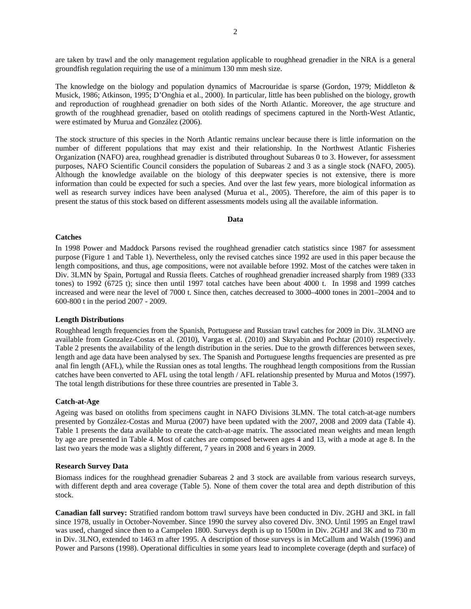are taken by trawl and the only management regulation applicable to roughhead grenadier in the NRA is a general groundfish regulation requiring the use of a minimum 130 mm mesh size.

The knowledge on the biology and population dynamics of Macrouridae is sparse (Gordon, 1979; Middleton & Musick, 1986; Atkinson, 1995; D'Onghia et al., 2000). In particular, little has been published on the biology, growth and reproduction of roughhead grenadier on both sides of the North Atlantic. Moreover, the age structure and growth of the roughhead grenadier, based on otolith readings of specimens captured in the North-West Atlantic, were estimated by Murua and González (2006).

The stock structure of this species in the North Atlantic remains unclear because there is little information on the number of different populations that may exist and their relationship. In the Northwest Atlantic Fisheries Organization (NAFO) area, roughhead grenadier is distributed throughout Subareas 0 to 3. However, for assessment purposes, NAFO Scientific Council considers the population of Subareas 2 and 3 as a single stock (NAFO, 2005). Although the knowledge available on the biology of this deepwater species is not extensive, there is more information than could be expected for such a species. And over the last few years, more biological information as well as research survey indices have been analysed (Murua et al., 2005). Therefore, the aim of this paper is to present the status of this stock based on different assessments models using all the available information.

### **Data**

### **Catches**

In 1998 Power and Maddock Parsons revised the roughhead grenadier catch statistics since 1987 for assessment purpose (Figure 1 and Table 1). Nevertheless, only the revised catches since 1992 are used in this paper because the length compositions, and thus, age compositions, were not available before 1992. Most of the catches were taken in Div. 3LMN by Spain, Portugal and Russia fleets. Catches of roughhead grenadier increased sharply from 1989 (333 tones) to 1992 (6725 t); since then until 1997 total catches have been about 4000 t. In 1998 and 1999 catches increased and were near the level of 7000 t. Since then, catches decreased to 3000–4000 tones in 2001–2004 and to 600-800 t in the period 2007 - 2009.

### **Length Distributions**

Roughhead length frequencies from the Spanish, Portuguese and Russian trawl catches for 2009 in Div. 3LMNO are available from Gonzalez-Costas et al. (2010), Vargas et al. (2010) and Skryabin and Pochtar (2010) respectively. Table 2 presents the availability of the length distribution in the series. Due to the growth differences between sexes, length and age data have been analysed by sex. The Spanish and Portuguese lengths frequencies are presented as pre anal fin length (AFL), while the Russian ones as total lengths. The roughhead length compositions from the Russian catches have been converted to AFL using the total length / AFL relationship presented by Murua and Motos (1997). The total length distributions for these three countries are presented in Table 3.

### **Catch-at-Age**

Ageing was based on otoliths from specimens caught in NAFO Divisions 3LMN. The total catch-at-age numbers presented by González-Costas and Murua (2007) have been updated with the 2007, 2008 and 2009 data (Table 4). Table 1 presents the data available to create the catch-at-age matrix. The associated mean weights and mean length by age are presented in Table 4. Most of catches are composed between ages 4 and 13, with a mode at age 8. In the last two years the mode was a slightly different, 7 years in 2008 and 6 years in 2009.

#### **Research Survey Data**

Biomass indices for the roughhead grenadier Subareas 2 and 3 stock are available from various research surveys, with different depth and area coverage (Table 5). None of them cover the total area and depth distribution of this stock.

**Canadian fall survey:** Stratified random bottom trawl surveys have been conducted in Div. 2GHJ and 3KL in fall since 1978, usually in October-November. Since 1990 the survey also covered Div. 3NO. Until 1995 an Engel trawl was used, changed since then to a Campelen 1800. Surveys depth is up to 1500m in Div. 2GHJ and 3K and to 730 m in Div. 3LNO, extended to 1463 m after 1995. A description of those surveys is in McCallum and Walsh (1996) and Power and Parsons (1998). Operational difficulties in some years lead to incomplete coverage (depth and surface) of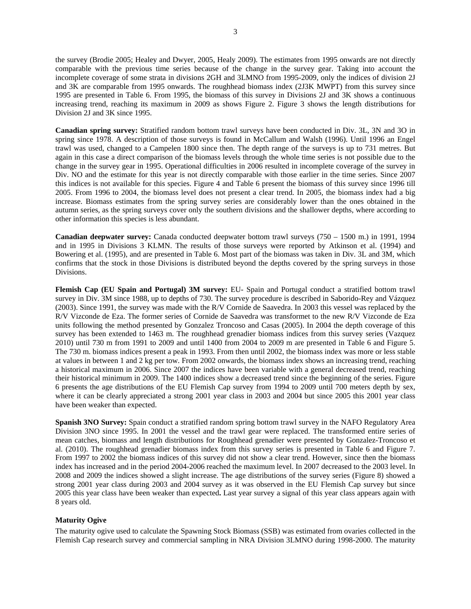the survey (Brodie 2005; Healey and Dwyer, 2005, Healy 2009). The estimates from 1995 onwards are not directly comparable with the previous time series because of the change in the survey gear. Taking into account the incomplete coverage of some strata in divisions 2GH and 3LMNO from 1995-2009, only the indices of division 2J and 3K are comparable from 1995 onwards. The roughhead biomass index (2J3K MWPT) from this survey since 1995 are presented in Table 6. From 1995, the biomass of this survey in Divisions 2J and 3K shows a continuous increasing trend, reaching its maximum in 2009 as shows Figure 2. Figure 3 shows the length distributions for Division 2J and 3K since 1995.

**Canadian spring survey:** Stratified random bottom trawl surveys have been conducted in Div. 3L, 3N and 3O in spring since 1978. A description of those surveys is found in McCallum and Walsh (1996). Until 1996 an Engel trawl was used, changed to a Campelen 1800 since then. The depth range of the surveys is up to 731 metres. But again in this case a direct comparison of the biomass levels through the whole time series is not possible due to the change in the survey gear in 1995. Operational difficulties in 2006 resulted in incomplete coverage of the survey in Div. NO and the estimate for this year is not directly comparable with those earlier in the time series. Since 2007 this indices is not available for this species. Figure 4 and Table 6 present the biomass of this survey since 1996 till 2005. From 1996 to 2004, the biomass level does not present a clear trend. In 2005, the biomass index had a big increase. Biomass estimates from the spring survey series are considerably lower than the ones obtained in the autumn series, as the spring surveys cover only the southern divisions and the shallower depths, where according to other information this species is less abundant.

**Canadian deepwater survey:** Canada conducted deepwater bottom trawl surveys (750 – 1500 m.) in 1991, 1994 and in 1995 in Divisions 3 KLMN. The results of those surveys were reported by Atkinson et al. (1994) and Bowering et al. (1995), and are presented in Table 6. Most part of the biomass was taken in Div. 3L and 3M, which confirms that the stock in those Divisions is distributed beyond the depths covered by the spring surveys in those Divisions.

**Flemish Cap (EU Spain and Portugal) 3M survey:** EU- Spain and Portugal conduct a stratified bottom trawl survey in Div. 3M since 1988, up to depths of 730. The survey procedure is described in Saborido-Rey and Vázquez (2003). Since 1991, the survey was made with the R/V Cornide de Saavedra. In 2003 this vessel was replaced by the R/V Vizconde de Eza. The former series of Cornide de Saavedra was transformet to the new R/V Vizconde de Eza units following the method presented by Gonzalez Troncoso and Casas (2005). In 2004 the depth coverage of this survey has been extended to 1463 m. The roughhead grenadier biomass indices from this survey series (Vazquez 2010) until 730 m from 1991 to 2009 and until 1400 from 2004 to 2009 m are presented in Table 6 and Figure 5. The 730 m. biomass indices present a peak in 1993. From then until 2002, the biomass index was more or less stable at values in between 1 and 2 kg per tow. From 2002 onwards, the biomass index shows an increasing trend, reaching a historical maximum in 2006. Since 2007 the indices have been variable with a general decreased trend, reaching their historical minimum in 2009. The 1400 indices show a decreased trend since the beginning of the series. Figure 6 presents the age distributions of the EU Flemish Cap survey from 1994 to 2009 until 700 meters depth by sex, where it can be clearly appreciated a strong 2001 year class in 2003 and 2004 but since 2005 this 2001 year class have been weaker than expected.

**Spanish 3NO Survey:** Spain conduct a stratified random spring bottom trawl survey in the NAFO Regulatory Area Division 3NO since 1995. In 2001 the vessel and the trawl gear were replaced. The transformed entire series of mean catches, biomass and length distributions for Roughhead grenadier were presented by Gonzalez-Troncoso et al. (2010). The roughhead grenadier biomass index from this survey series is presented in Table 6 and Figure 7. From 1997 to 2002 the biomass indices of this survey did not show a clear trend. However, since then the biomass index has increased and in the period 2004-2006 reached the maximum level. In 2007 decreased to the 2003 level. In 2008 and 2009 the indices showed a slight increase. The age distributions of the survey series (Figure 8) showed a strong 2001 year class during 2003 and 2004 survey as it was observed in the EU Flemish Cap survey but since 2005 this year class have been weaker than expected**.** Last year survey a signal of this year class appears again with 8 years old.

# **Maturity Ogive**

The maturity ogive used to calculate the Spawning Stock Biomass (SSB) was estimated from ovaries collected in the Flemish Cap research survey and commercial sampling in NRA Division 3LMNO during 1998-2000. The maturity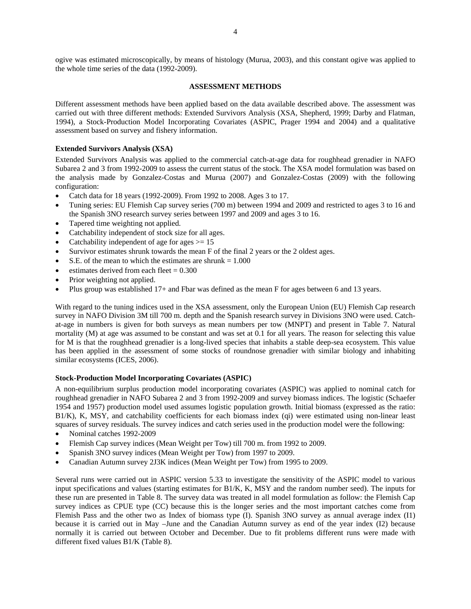ogive was estimated microscopically, by means of histology (Murua, 2003), and this constant ogive was applied to the whole time series of the data (1992-2009).

## **ASSESSMENT METHODS**

Different assessment methods have been applied based on the data available described above. The assessment was carried out with three different methods: Extended Survivors Analysis (XSA, Shepherd, 1999; Darby and Flatman, 1994), a Stock-Production Model Incorporating Covariates (ASPIC, Prager 1994 and 2004) and a qualitative assessment based on survey and fishery information.

## **Extended Survivors Analysis (XSA)**

Extended Survivors Analysis was applied to the commercial catch-at-age data for roughhead grenadier in NAFO Subarea 2 and 3 from 1992-2009 to assess the current status of the stock. The XSA model formulation was based on the analysis made by Gonzalez-Costas and Murua (2007) and Gonzalez-Costas (2009) with the following configuration:

- Catch data for 18 years (1992-2009). From 1992 to 2008. Ages 3 to 17.
- Tuning series: EU Flemish Cap survey series (700 m) between 1994 and 2009 and restricted to ages 3 to 16 and the Spanish 3NO research survey series between 1997 and 2009 and ages 3 to 16.
- Tapered time weighting not applied.
- Catchability independent of stock size for all ages.
- Catchability independent of age for ages  $\geq 15$
- Survivor estimates shrunk towards the mean F of the final 2 years or the 2 oldest ages.
- S.E. of the mean to which the estimates are shrunk  $= 1.000$
- estimates derived from each fleet  $= 0.300$
- Prior weighting not applied.
- Plus group was established 17+ and Fbar was defined as the mean F for ages between 6 and 13 years.

With regard to the tuning indices used in the XSA assessment, only the European Union (EU) Flemish Cap research survey in NAFO Division 3M till 700 m. depth and the Spanish research survey in Divisions 3NO were used. Catchat-age in numbers is given for both surveys as mean numbers per tow (MNPT) and present in Table 7. Natural mortality (M) at age was assumed to be constant and was set at 0.1 for all years. The reason for selecting this value for M is that the roughhead grenadier is a long-lived species that inhabits a stable deep-sea ecosystem. This value has been applied in the assessment of some stocks of roundnose grenadier with similar biology and inhabiting similar ecosystems (ICES, 2006).

## **Stock-Production Model Incorporating Covariates (ASPIC)**

A non-equilibrium surplus production model incorporating covariates (ASPIC) was applied to nominal catch for roughhead grenadier in NAFO Subarea 2 and 3 from 1992-2009 and survey biomass indices. The logistic (Schaefer 1954 and 1957) production model used assumes logistic population growth. Initial biomass (expressed as the ratio: B1/K), K, MSY, and catchability coefficients for each biomass index (qi) were estimated using non-linear least squares of survey residuals. The survey indices and catch series used in the production model were the following:

- Nominal catches 1992-2009
- Flemish Cap survey indices (Mean Weight per Tow) till 700 m. from 1992 to 2009.
- Spanish 3NO survey indices (Mean Weight per Tow) from 1997 to 2009.
- Canadian Autumn survey 2J3K indices (Mean Weight per Tow) from 1995 to 2009.

Several runs were carried out in ASPIC version 5.33 to investigate the sensitivity of the ASPIC model to various input specifications and values (starting estimates for B1/K, K, MSY and the random number seed). The inputs for these run are presented in Table 8. The survey data was treated in all model formulation as follow: the Flemish Cap survey indices as CPUE type (CC) because this is the longer series and the most important catches come from Flemish Pass and the other two as Index of biomass type (I). Spanish 3NO survey as annual average index (I1) because it is carried out in May –June and the Canadian Autumn survey as end of the year index (I2) because normally it is carried out between October and December. Due to fit problems different runs were made with different fixed values B1/K (Table 8).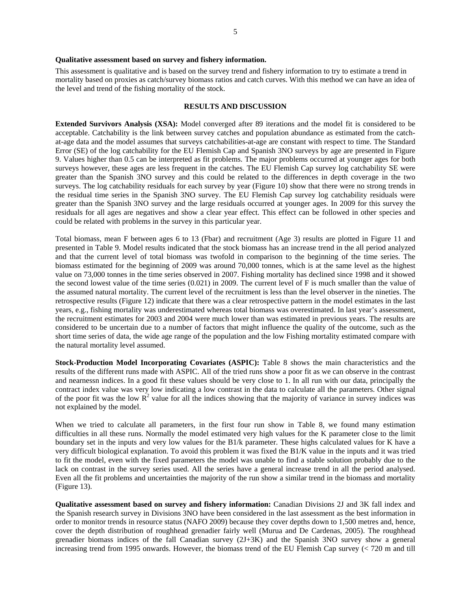#### **Qualitative assessment based on survey and fishery information.**

This assessment is qualitative and is based on the survey trend and fishery information to try to estimate a trend in mortality based on proxies as catch/survey biomass ratios and catch curves. With this method we can have an idea of the level and trend of the fishing mortality of the stock.

### **RESULTS AND DISCUSSION**

**Extended Survivors Analysis (XSA):** Model converged after 89 iterations and the model fit is considered to be acceptable. Catchability is the link between survey catches and population abundance as estimated from the catchat-age data and the model assumes that surveys catchabilities-at-age are constant with respect to time. The Standard Error (SE) of the log catchability for the EU Flemish Cap and Spanish 3NO surveys by age are presented in Figure 9. Values higher than 0.5 can be interpreted as fit problems. The major problems occurred at younger ages for both surveys however, these ages are less frequent in the catches. The EU Flemish Cap survey log catchability SE were greater than the Spanish 3NO survey and this could be related to the differences in depth coverage in the two surveys. The log catchability residuals for each survey by year (Figure 10) show that there were no strong trends in the residual time series in the Spanish 3NO survey. The EU Flemish Cap survey log catchability residuals were greater than the Spanish 3NO survey and the large residuals occurred at younger ages. In 2009 for this survey the residuals for all ages are negatives and show a clear year effect. This effect can be followed in other species and could be related with problems in the survey in this particular year.

Total biomass, mean F between ages 6 to 13 (Fbar) and recruitment (Age 3) results are plotted in Figure 11 and presented in Table 9. Model results indicated that the stock biomass has an increase trend in the all period analyzed and that the current level of total biomass was twofold in comparison to the beginning of the time series. The biomass estimated for the beginning of 2009 was around 70,000 tonnes, which is at the same level as the highest value on 73,000 tonnes in the time series observed in 2007. Fishing mortality has declined since 1998 and it showed the second lowest value of the time series (0.021) in 2009. The current level of F is much smaller than the value of the assumed natural mortality. The current level of the recruitment is less than the level observer in the nineties. The retrospective results (Figure 12) indicate that there was a clear retrospective pattern in the model estimates in the last years, e.g., fishing mortality was underestimated whereas total biomass was overestimated. In last year's assessment, the recruitment estimates for 2003 and 2004 were much lower than was estimated in previous years. The results are considered to be uncertain due to a number of factors that might influence the quality of the outcome, such as the short time series of data, the wide age range of the population and the low Fishing mortality estimated compare with the natural mortality level assumed.

**Stock-Production Model Incorporating Covariates (ASPIC):** Table 8 shows the main characteristics and the results of the different runs made with ASPIC. All of the tried runs show a poor fit as we can observe in the contrast and nearnessn indices. In a good fit these values should be very close to 1. In all run with our data, principally the contract index value was very low indicating a low contrast in the data to calculate all the parameters. Other signal of the poor fit was the low  $\mathbb{R}^2$  value for all the indices showing that the majority of variance in survey indices was not explained by the model.

When we tried to calculate all parameters, in the first four run show in Table 8, we found many estimation difficulties in all these runs. Normally the model estimated very high values for the K parameter close to the limit boundary set in the inputs and very low values for the B1/k parameter. These highs calculated values for K have a very difficult biological explanation. To avoid this problem it was fixed the B1/K value in the inputs and it was tried to fit the model, even with the fixed parameters the model was unable to find a stable solution probably due to the lack on contrast in the survey series used. All the series have a general increase trend in all the period analysed. Even all the fit problems and uncertainties the majority of the run show a similar trend in the biomass and mortality (Figure 13).

**Qualitative assessment based on survey and fishery information:** Canadian Divisions 2J and 3K fall index and the Spanish research survey in Divisions 3NO have been considered in the last assessment as the best information in order to monitor trends in resource status (NAFO 2009) because they cover depths down to 1,500 metres and, hence, cover the depth distribution of roughhead grenadier fairly well (Murua and De Cardenas, 2005). The roughhead grenadier biomass indices of the fall Canadian survey (2J+3K) and the Spanish 3NO survey show a general increasing trend from 1995 onwards. However, the biomass trend of the EU Flemish Cap survey (< 720 m and till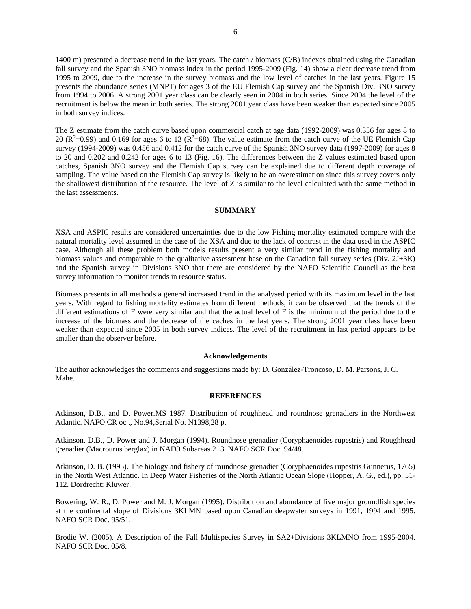1400 m) presented a decrease trend in the last years. The catch / biomass (C/B) indexes obtained using the Canadian fall survey and the Spanish 3NO biomass index in the period 1995-2009 (Fig. 14) show a clear decrease trend from 1995 to 2009, due to the increase in the survey biomass and the low level of catches in the last years. Figure 15 presents the abundance series (MNPT) for ages 3 of the EU Flemish Cap survey and the Spanish Div. 3NO survey from 1994 to 2006. A strong 2001 year class can be clearly seen in 2004 in both series. Since 2004 the level of the recruitment is below the mean in both series. The strong 2001 year class have been weaker than expected since 2005 in both survey indices.

The Z estimate from the catch curve based upon commercial catch at age data (1992-2009) was 0.356 for ages 8 to 20 ( $\mathbb{R}^2$ =0.99) and 0.169 for ages 6 to 13 ( $\mathbb{R}^2$ =68). The value estimate from the catch curve of the UE Flemish Cap survey (1994-2009) was 0.456 and 0.412 for the catch curve of the Spanish 3NO survey data (1997-2009) for ages 8 to 20 and 0.202 and 0.242 for ages 6 to 13 (Fig. 16). The differences between the Z values estimated based upon catches, Spanish 3NO survey and the Flemish Cap survey can be explained due to different depth coverage of sampling. The value based on the Flemish Cap survey is likely to be an overestimation since this survey covers only the shallowest distribution of the resource. The level of Z is similar to the level calculated with the same method in the last assessments.

### **SUMMARY**

XSA and ASPIC results are considered uncertainties due to the low Fishing mortality estimated compare with the natural mortality level assumed in the case of the XSA and due to the lack of contrast in the data used in the ASPIC case. Although all these problem both models results present a very similar trend in the fishing mortality and biomass values and comparable to the qualitative assessment base on the Canadian fall survey series (Div. 2J+3K) and the Spanish survey in Divisions 3NO that there are considered by the NAFO Scientific Council as the best survey information to monitor trends in resource status.

Biomass presents in all methods a general increased trend in the analysed period with its maximum level in the last years. With regard to fishing mortality estimates from different methods, it can be observed that the trends of the different estimations of F were very similar and that the actual level of F is the minimum of the period due to the increase of the biomass and the decrease of the caches in the last years. The strong 2001 year class have been weaker than expected since 2005 in both survey indices. The level of the recruitment in last period appears to be smaller than the observer before.

### **Acknowledgements**

The author acknowledges the comments and suggestions made by: D. González-Troncoso, D. M. Parsons, J. C. Mahe.

## **REFERENCES**

Atkinson, D.B., and D. Power.MS 1987. Distribution of roughhead and roundnose grenadiers in the Northwest Atlantic. NAFO CR oc ., No.94,Serial No. N1398,28 p.

Atkinson, D.B., D. Power and J. Morgan (1994). Roundnose grenadier (Coryphaenoides rupestris) and Roughhead grenadier (Macrourus berglax) in NAFO Subareas 2+3. NAFO SCR Doc. 94/48.

Atkinson, D. B. (1995). The biology and fishery of roundnose grenadier (Coryphaenoides rupestris Gunnerus, 1765) in the North West Atlantic. In Deep Water Fisheries of the North Atlantic Ocean Slope (Hopper, A. G., ed.), pp. 51- 112. Dordrecht: Kluwer.

Bowering, W. R., D. Power and M. J. Morgan (1995). Distribution and abundance of five major groundfish species at the continental slope of Divisions 3KLMN based upon Canadian deepwater surveys in 1991, 1994 and 1995. NAFO SCR Doc. 95/51.

Brodie W. (2005). A Description of the Fall Multispecies Survey in SA2+Divisions 3KLMNO from 1995-2004. NAFO SCR Doc. 05/8.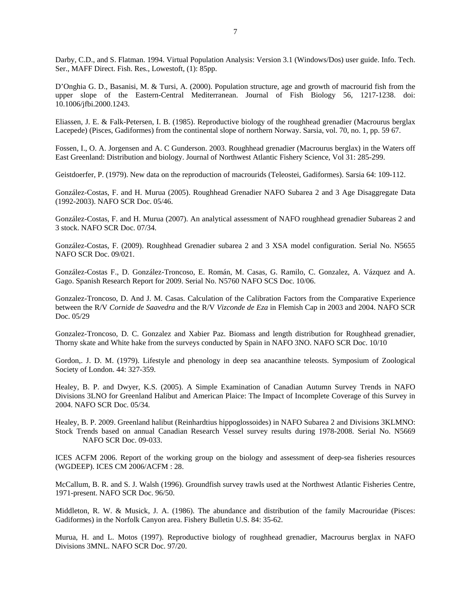Darby, C.D., and S. Flatman. 1994. Virtual Population Analysis: Version 3.1 (Windows/Dos) user guide. Info. Tech. Ser., MAFF Direct. Fish. Res., Lowestoft, (1): 85pp.

D'Onghia G. D., Basanisi, M. & Tursi, A. (2000). Population structure, age and growth of macrourid fish from the upper slope of the Eastern-Central Mediterranean. Journal of Fish Biology 56, 1217-1238. doi: 10.1006/jfbi.2000.1243.

Eliassen, J. E. & Falk-Petersen, I. B. (1985). Reproductive biology of the roughhead grenadier (Macrourus berglax Lacepede) (Pisces, Gadiformes) from the continental slope of northern Norway. Sarsia, vol. 70, no. 1, pp. 59 67.

Fossen, I., O. A. Jorgensen and A. C Gunderson. 2003. Roughhead grenadier (Macrourus berglax) in the Waters off East Greenland: Distribution and biology. Journal of Northwest Atlantic Fishery Science, Vol 31: 285-299.

Geistdoerfer, P. (1979). New data on the reproduction of macrourids (Teleostei, Gadiformes). Sarsia 64: 109-112.

González-Costas, F. and H. Murua (2005). Roughhead Grenadier NAFO Subarea 2 and 3 Age Disaggregate Data (1992-2003). NAFO SCR Doc. 05/46.

González-Costas, F. and H. Murua (2007). An analytical assessment of NAFO roughhead grenadier Subareas 2 and 3 stock. NAFO SCR Doc. 07/34.

González-Costas, F. (2009). Roughhead Grenadier subarea 2 and 3 XSA model configuration. Serial No. N5655 NAFO SCR Doc. 09/021.

González-Costas F., D. González-Troncoso, E. Román, M. Casas, G. Ramilo, C. Gonzalez, A. Vázquez and A. Gago. Spanish Research Report for 2009. Serial No. N5760 NAFO SCS Doc. 10/06.

Gonzalez-Troncoso, D. And J. M. Casas. Calculation of the Calibration Factors from the Comparative Experience between the R/V *Cornide de Saavedra* and the R/V *Vizconde de Eza* in Flemish Cap in 2003 and 2004. NAFO SCR Doc. 05/29

Gonzalez-Troncoso, D. C. Gonzalez and Xabier Paz. Biomass and length distribution for Roughhead grenadier, Thorny skate and White hake from the surveys conducted by Spain in NAFO 3NO. NAFO SCR Doc. 10/10

Gordon,. J. D. M. (1979). Lifestyle and phenology in deep sea anacanthine teleosts. Symposium of Zoological Society of London. 44: 327-359.

Healey, B. P. and Dwyer, K.S. (2005). A Simple Examination of Canadian Autumn Survey Trends in NAFO Divisions 3LNO for Greenland Halibut and American Plaice: The Impact of Incomplete Coverage of this Survey in 2004. NAFO SCR Doc. 05/34.

Healey, B. P. 2009. Greenland halibut (Reinhardtius hippoglossoides) in NAFO Subarea 2 and Divisions 3KLMNO: Stock Trends based on annual Canadian Research Vessel survey results during 1978-2008. Serial No. N5669 NAFO SCR Doc. 09-033.

ICES ACFM 2006. Report of the working group on the biology and assessment of deep-sea fisheries resources (WGDEEP). ICES CM 2006/ACFM : 28.

McCallum, B. R. and S. J. Walsh (1996). Groundfish survey trawls used at the Northwest Atlantic Fisheries Centre, 1971-present. NAFO SCR Doc. 96/50.

Middleton, R. W. & Musick, J. A. (1986). The abundance and distribution of the family Macrouridae (Pisces: Gadiformes) in the Norfolk Canyon area. Fishery Bulletin U.S. 84: 35-62.

Murua, H. and L. Motos (1997). Reproductive biology of roughhead grenadier, Macrourus berglax in NAFO Divisions 3MNL. NAFO SCR Doc. 97/20.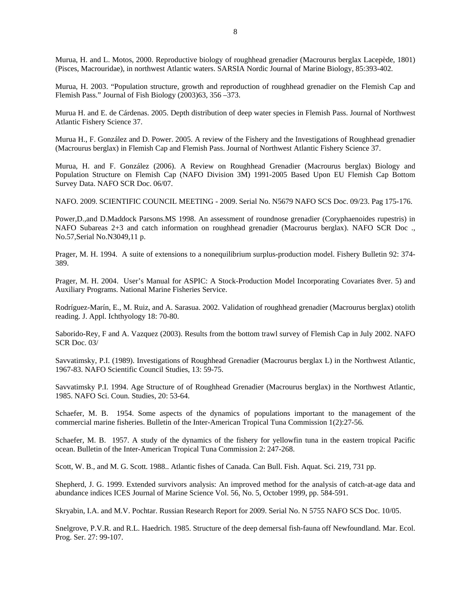Murua, H. and L. Motos, 2000. Reproductive biology of roughhead grenadier (Macrourus berglax Lacepède, 1801) (Pisces, Macrouridae), in northwest Atlantic waters. SARSIA Nordic Journal of Marine Biology, 85:393-402.

Murua, H. 2003. "Population structure, growth and reproduction of roughhead grenadier on the Flemish Cap and Flemish Pass." Journal of Fish Biology (2003)63, 356 –373.

Murua H. and E. de Cárdenas. 2005. Depth distribution of deep water species in Flemish Pass. Journal of Northwest Atlantic Fishery Science 37.

Murua H., F. González and D. Power. 2005. A review of the Fishery and the Investigations of Roughhead grenadier (Macrourus berglax) in Flemish Cap and Flemish Pass. Journal of Northwest Atlantic Fishery Science 37.

Murua, H. and F. González (2006). A Review on Roughhead Grenadier (Macrourus berglax) Biology and Population Structure on Flemish Cap (NAFO Division 3M) 1991-2005 Based Upon EU Flemish Cap Bottom Survey Data. NAFO SCR Doc. 06/07.

NAFO. 2009. SCIENTIFIC COUNCIL MEETING - 2009. Serial No. N5679 NAFO SCS Doc. 09/23. Pag 175-176.

Power,D.,and D.Maddock Parsons.MS 1998. An assessment of roundnose grenadier (Coryphaenoides rupestris) in NAFO Subareas 2+3 and catch information on roughhead grenadier (Macrourus berglax). NAFO SCR Doc ., No.57,Serial No.N3049,11 p.

Prager, M. H. 1994. A suite of extensions to a nonequilibrium surplus-production model. Fishery Bulletin 92: 374- 389.

Prager, M. H. 2004. User's Manual for ASPIC: A Stock-Production Model Incorporating Covariates 8ver. 5) and Auxiliary Programs. National Marine Fisheries Service.

Rodríguez-Marín, E., M. Ruiz, and A. Sarasua. 2002. Validation of roughhead grenadier (Macrourus berglax) otolith reading. J. Appl. Ichthyology 18: 70-80.

Saborido-Rey, F and A. Vazquez (2003). Results from the bottom trawl survey of Flemish Cap in July 2002. NAFO SCR Doc. 03/

Savvatimsky, P.I. (1989). Investigations of Roughhead Grenadier (Macrourus berglax L) in the Northwest Atlantic, 1967-83. NAFO Scientific Council Studies, 13: 59-75.

Savvatimsky P.I. 1994. Age Structure of of Roughhead Grenadier (Macrourus berglax) in the Northwest Atlantic, 1985. NAFO Sci. Coun. Studies, 20: 53-64.

Schaefer, M. B. 1954. Some aspects of the dynamics of populations important to the management of the commercial marine fisheries. Bulletin of the Inter-American Tropical Tuna Commission 1(2):27-56.

Schaefer, M. B. 1957. A study of the dynamics of the fishery for yellowfin tuna in the eastern tropical Pacific ocean. Bulletin of the Inter-American Tropical Tuna Commission 2: 247-268.

Scott, W. B., and M. G. Scott. 1988.. Atlantic fishes of Canada. Can Bull. Fish. Aquat. Sci. 219, 731 pp.

Shepherd, J. G. 1999. Extended survivors analysis: An improved method for the analysis of catch-at-age data and abundance indices ICES Journal of Marine Science Vol. 56, No. 5, October 1999, pp. 584-591.

Skryabin, I.A. and M.V. Pochtar. Russian Research Report for 2009. Serial No. N 5755 NAFO SCS Doc. 10/05.

Snelgrove, P.V.R. and R.L. Haedrich. 1985. Structure of the deep demersal fish-fauna off Newfoundland. Mar. Ecol. Prog. Ser. 27: 99-107.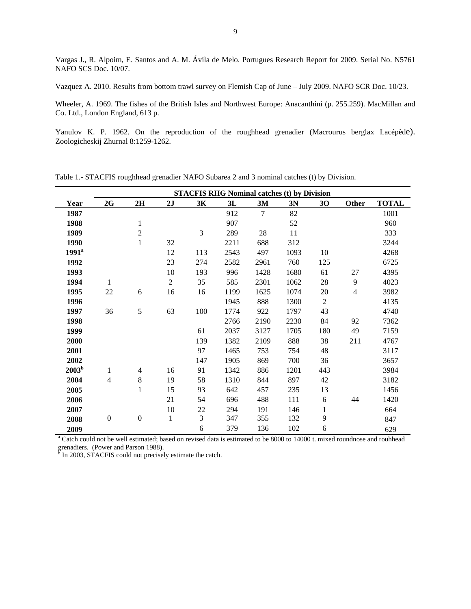Vargas J., R. Alpoim, E. Santos and A. M. Ávila de Melo. Portugues Research Report for 2009. Serial No. N5761 NAFO SCS Doc. 10/07.

Vazquez A. 2010. Results from bottom trawl survey on Flemish Cap of June – July 2009. NAFO SCR Doc. 10/23.

Wheeler, A. 1969. The fishes of the British Isles and Northwest Europe: Anacanthini (p. 255.259). MacMillan and Co. Ltd., London England, 613 p.

Yanulov K. P. 1962. On the reproduction of the roughhead grenadier (Macrourus berglax Lacépède). Zoologicheskij Zhurnal 8:1259-1262.

|                                                                                                                                        |                  |                  |                |     | <b>STACFIS RHG Nominal catches (t) by Division</b> |                |      |                |                |              |
|----------------------------------------------------------------------------------------------------------------------------------------|------------------|------------------|----------------|-----|----------------------------------------------------|----------------|------|----------------|----------------|--------------|
| Year                                                                                                                                   | 2G               | 2H               | 2J             | 3K  | 3L                                                 | 3M             | 3N   | 30             | Other          | <b>TOTAL</b> |
| 1987                                                                                                                                   |                  |                  |                |     | 912                                                | $\overline{7}$ | 82   |                |                | 1001         |
| 1988                                                                                                                                   |                  | 1                |                |     | 907                                                |                | 52   |                |                | 960          |
| 1989                                                                                                                                   |                  | $\sqrt{2}$       |                | 3   | 289                                                | $28\,$         | 11   |                |                | 333          |
| 1990                                                                                                                                   |                  | $\mathbf{1}$     | 32             |     | 2211                                               | 688            | 312  |                |                | 3244         |
| 1991 <sup>a</sup>                                                                                                                      |                  |                  | 12             | 113 | 2543                                               | 497            | 1093 | 10             |                | 4268         |
| 1992                                                                                                                                   |                  |                  | 23             | 274 | 2582                                               | 2961           | 760  | 125            |                | 6725         |
| 1993                                                                                                                                   |                  |                  | 10             | 193 | 996                                                | 1428           | 1680 | 61             | 27             | 4395         |
| 1994                                                                                                                                   | 1                |                  | $\overline{c}$ | 35  | 585                                                | 2301           | 1062 | 28             | 9              | 4023         |
| 1995                                                                                                                                   | 22               | 6                | 16             | 16  | 1199                                               | 1625           | 1074 | 20             | $\overline{4}$ | 3982         |
| 1996                                                                                                                                   |                  |                  |                |     | 1945                                               | 888            | 1300 | $\overline{2}$ |                | 4135         |
| 1997                                                                                                                                   | 36               | 5                | 63             | 100 | 1774                                               | 922            | 1797 | 43             |                | 4740         |
| 1998                                                                                                                                   |                  |                  |                |     | 2766                                               | 2190           | 2230 | 84             | 92             | 7362         |
| 1999                                                                                                                                   |                  |                  |                | 61  | 2037                                               | 3127           | 1705 | 180            | 49             | 7159         |
| 2000                                                                                                                                   |                  |                  |                | 139 | 1382                                               | 2109           | 888  | 38             | 211            | 4767         |
| 2001                                                                                                                                   |                  |                  |                | 97  | 1465                                               | 753            | 754  | 48             |                | 3117         |
| 2002                                                                                                                                   |                  |                  |                | 147 | 1905                                               | 869            | 700  | 36             |                | 3657         |
| 2003 <sup>b</sup>                                                                                                                      | 1                | 4                | 16             | 91  | 1342                                               | 886            | 1201 | 443            |                | 3984         |
| 2004                                                                                                                                   | $\overline{4}$   | $8\,$            | 19             | 58  | 1310                                               | 844            | 897  | 42             |                | 3182         |
| 2005                                                                                                                                   |                  | $\mathbf{1}$     | 15             | 93  | 642                                                | 457            | 235  | 13             |                | 1456         |
| 2006                                                                                                                                   |                  |                  | 21             | 54  | 696                                                | 488            | 111  | 6              | 44             | 1420         |
| 2007                                                                                                                                   |                  |                  | 10             | 22  | 294                                                | 191            | 146  | 1              |                | 664          |
| 2008                                                                                                                                   | $\boldsymbol{0}$ | $\boldsymbol{0}$ | $\,1$          | 3   | 347                                                | 355            | 132  | 9              |                | 847          |
| 2009                                                                                                                                   |                  |                  |                | 6   | 379                                                | 136            | 102  | 6              |                | 629          |
| <sup>a</sup> Catch could not be well estimated; based on revised data is estimated to be 8000 to 14000 t. mixed roundnose and rouhhead |                  |                  |                |     |                                                    |                |      |                |                |              |

Table 1.- STACFIS roughhead grenadier NAFO Subarea 2 and 3 nominal catches (t) by Division.

grenadiers. (Power and Parson 1988).<br><sup>b</sup> In 2003, STACFIS could not precisely estimate the catch.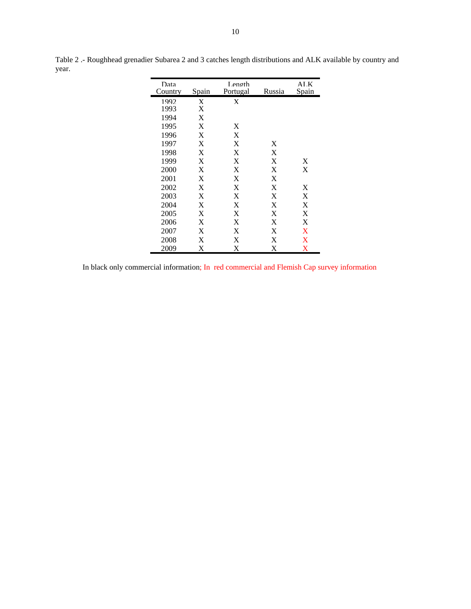| Data    |       | Length   |        | ALK      |
|---------|-------|----------|--------|----------|
| Country | Spain | Portugal | Russia | Spain    |
| 1992    | X     | X        |        |          |
| 1993    | X     |          |        |          |
| 1994    | X     |          |        |          |
| 1995    | X     | X        |        |          |
| 1996    | X     | X        |        |          |
| 1997    | X     | X        | X      |          |
| 1998    | X     | X        | X      |          |
| 1999    | X     | X        | X      | X        |
| 2000    | X     | X        | X      | X        |
| 2001    | X     | X        | X      |          |
| 2002    | X     | X        | X      | X        |
| 2003    | X     | X        | X      | X        |
| 2004    | X     | X        | X      | X        |
| 2005    | X     | X        | X      | X        |
| 2006    | X     | X        | X      | X        |
| 2007    | X     | X        | X      | X        |
| 2008    | X     | X        | X      | X        |
| 2009    | X     | X        | X      | $\rm\,X$ |

Table 2 .- Roughhead grenadier Subarea 2 and 3 catches length distributions and ALK available by country and year.

In black only commercial information; In red commercial and Flemish Cap survey information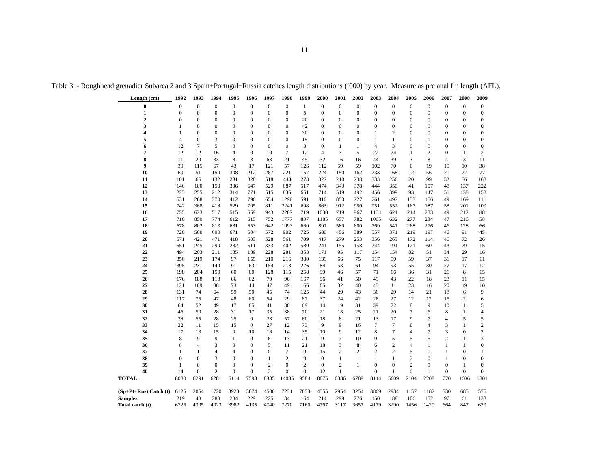|  |  |  |  |  |  | Table 3 .- Roughhead grenadier Subarea 2 and 3 Spain+Portugal+Russia catches length distributions ('000) by year. Measure as pre anal fin length (AFL). |  |
|--|--|--|--|--|--|---------------------------------------------------------------------------------------------------------------------------------------------------------|--|
|--|--|--|--|--|--|---------------------------------------------------------------------------------------------------------------------------------------------------------|--|

| Length (cm)               | 1992           | 1993             | 1994             | 1995             | 1996             | 1997             | 1998             | 1999           | 2000           | 2001             | 2002             | 2003             | 2004           | 2005           | 2006           | 2007           | 2008             | 2009                     |
|---------------------------|----------------|------------------|------------------|------------------|------------------|------------------|------------------|----------------|----------------|------------------|------------------|------------------|----------------|----------------|----------------|----------------|------------------|--------------------------|
| $\bf{0}$                  | $\mathbf{0}$   | $\overline{0}$   | $\mathbf{0}$     | $\boldsymbol{0}$ | $\overline{0}$   | $\overline{0}$   | $\boldsymbol{0}$ | 1              | $\overline{0}$ | $\mathbf{0}$     | $\boldsymbol{0}$ | $\overline{0}$   | $\overline{0}$ | $\mathbf{0}$   | $\mathbf{0}$   | $\overline{0}$ | $\mathbf{0}$     | $\boldsymbol{0}$         |
| $\mathbf{1}$              | $\overline{0}$ | $\overline{0}$   | $\overline{0}$   | $\overline{0}$   | $\overline{0}$   | $\overline{0}$   | $\boldsymbol{0}$ | 5              | $\overline{0}$ | $\mathbf{0}$     | $\boldsymbol{0}$ | $\overline{0}$   | $\overline{0}$ | $\mathbf{0}$   | $\mathbf{0}$   | $\overline{0}$ | $\theta$         | $\boldsymbol{0}$         |
| $\overline{2}$            | $\mathbf{0}$   | $\mathbf{0}$     | $\mathbf{0}$     | $\boldsymbol{0}$ | $\overline{0}$   | $\boldsymbol{0}$ | $\boldsymbol{0}$ | 20             | $\overline{0}$ | $\mathbf{0}$     | $\boldsymbol{0}$ | $\overline{0}$   | $\mathbf{0}$   | $\mathbf{0}$   | $\mathbf{0}$   | $\mathbf{0}$   | $\mathbf{0}$     | $\boldsymbol{0}$         |
| 3                         | 1              | $\overline{0}$   | $\mathbf{0}$     | $\mathbf{0}$     | $\overline{0}$   | $\overline{0}$   | $\overline{0}$   | 42             | $\overline{0}$ | $\mathbf{0}$     | $\mathbf{0}$     | $\overline{0}$   | $\overline{0}$ | $\mathbf{0}$   | $\mathbf{0}$   | $\Omega$       | $\mathbf{0}$     | $\boldsymbol{0}$         |
| 4                         | 1              | $\mathbf{0}$     | $\mathbf{0}$     | $\overline{0}$   | $\overline{0}$   | $\overline{0}$   | $\mathbf{0}$     | 30             | $\overline{0}$ | $\mathbf{0}$     | $\boldsymbol{0}$ | $\mathbf{1}$     | $\overline{c}$ | $\mathbf{0}$   | $\mathbf{0}$   | $\overline{0}$ | $\overline{0}$   | $\boldsymbol{0}$         |
| 5                         | 4              | $\boldsymbol{0}$ | 3                | $\overline{0}$   | $\boldsymbol{0}$ | $\overline{0}$   | $\boldsymbol{0}$ | 15             | $\overline{0}$ | $\boldsymbol{0}$ | $\boldsymbol{0}$ | $\mathbf{1}$     | 1              | $\mathbf{0}$   | 1              | $\mathbf{0}$   | 0                | $\boldsymbol{0}$         |
| 6                         | 12             | $\tau$           | 5                | $\Omega$         | $\theta$         | $\Omega$         | $\mathbf{0}$     | 8              | $\Omega$       | 1                | 1                | $\overline{4}$   | 3              | $\mathbf{0}$   | $\mathbf{0}$   | $\Omega$       | $\Omega$         | $\mathbf{0}$             |
| 7                         | 12             | 12               | 16               | $\overline{4}$   | $\overline{0}$   | 10               | 7                | 12             | $\overline{4}$ | 3                | 5                | 22               | 24             | $\mathbf{1}$   | $\overline{c}$ | $\overline{0}$ | $\mathbf{1}$     | $\overline{c}$           |
| 8<br>9                    | 11             | 29               | 33               | 8<br>43          | 3                | 63               | 21               | 45             | 32             | 16<br>59         | 16               | 44<br>102        | 39             | 3              | 8              | 4<br>10        | 3<br>10          | 11                       |
| 10                        | 39<br>69       | 115<br>51        | 67<br>159        | 308              | 17<br>212        | 121<br>287       | 57<br>221        | 126<br>157     | 112<br>224     | 150              | 59<br>162        | 233              | 70<br>168      | 6<br>12        | 19<br>56       | 21             | 22               | 38<br>77                 |
| 11                        | 101            | 65               | 132              | 231              | 328              | 518              | 448              | 278            | 327            | 210              | 238              | 333              | 256            | 20             | 99             | 32             | 56               | 163                      |
| 12                        | 146            | 100              | 150              | 306              | 647              | 529              | 687              | 517            | 474            | 343              | 378              | 444              | 350            | 41             | 157            | 48             | 137              | 222                      |
| 13                        | 223            | 255              | 212              | 314              | 771              | 515              | 835              | 651            | 714            | 519              | 492              | 456              | 399            | 93             | 147            | 51             | 138              | 152                      |
| 14                        | 531            | 288              | 370              | 412              | 796              | 654              | 1290             | 591            | 810            | 853              | 727              | 761              | 497            | 133            | 156            | 49             | 169              | 111                      |
| 15                        | 742            | 368              | 418              | 529              | 705              | 811              | 2241             | 698            | 863            | 912              | 950              | 951              | 552            | 167            | 187            | 58             | 201              | 109                      |
| 16                        | 755            | 623              | 517              | 515              | 569              | 943              | 2287             | 719            | 1038           | 719              | 967              | 1134             | 621            | 214            | 233            | 49             | 212              | 88                       |
| 17                        | 710            | 850              | 774              | 612              | 615              | 752              | 1777             | 807            | 1185           | 657              | 782              | 1005             | 632            | 277            | 234            | 47             | 216              | 58                       |
| 18                        | 678            | 802              | 813              | 681              | 653              | 642              | 1093             | 660            | 891            | 589              | 600              | 769              | 541            | 268            | 276            | 46             | 128              | 66                       |
| 19                        | 720            | 560              | 690              | 671              | 504              | 572              | 902              | 725            | 680            | 456              | 389              | 557              | 371            | 219            | 197            | 46             | 91               | 45                       |
| 20                        | 571            | 421              | 471              | 418              | 503              | 528              | 561              | 709            | 417            | 279              | 253              | 356              | 263            | 172            | 114            | 40             | 72               | 26                       |
| 21                        | 551            | 245              | 299              | 282              | 511              | 333              | 402              | 580            | 241            | 155              | 158              | 244              | 191            | 121            | 60             | 43             | 29               | 15                       |
| 22                        | 494            | 203              | 211              | 185              | 189              | 228              | 281              | 358            | 171            | 95               | 117              | 154              | 154            | 82             | 51             | 34             | 29               | 16                       |
| 23                        | 350            | 219              | 174              | 97               | 155              | 210              | 216              | 380            | 139            | 66               | 75               | 117              | 90             | 59             | 37             | 31             | 17               | 11                       |
| 24                        | 395            | 231              | 149              | 91               | 63               | 154              | 213              | 276            | 84             | 53               | 61               | 94               | 93             | 55             | 30             | 27             | 17               | 12                       |
| 25                        | 198            | 204              | 150              | 60               | 60               | 128              | 115              | 258            | 99             | 46               | 57               | 71               | 66             | 36             | 31             | 26             | 8                | 15                       |
| 26                        | 176            | 188              | 113              | 66               | 62               | 79               | 96               | 167            | 96             | 41               | 50               | 49               | 43             | 22             | 18             | 23             | 11               | 15                       |
| 27<br>28                  | 121<br>131     | 109<br>74        | 88<br>64         | 73<br>59         | 14<br>50         | 47               | 49<br>74         | 166            | 65<br>44       | 32<br>29         | 40<br>43         | 45<br>36         | 41<br>29       | 23<br>14       | 16<br>21       | 20<br>18       | 19<br>6          | 10<br>9                  |
| 29                        | 117            | 75               | 47               | 48               | 60               | 45<br>54         | 29               | 125<br>87      | 37             | 24               | 42               | 26               | 27             | 12             | 12             | 15             | $\overline{c}$   | 6                        |
| 30                        | 64             | 52               | 49               | 17               | 85               | 41               | 30               | 69             | 14             | 19               | 31               | 39               | 22             | 8              | 9              | 10             | $\mathbf{1}$     | 5                        |
| 31                        | 46             | 50               | 28               | 31               | 17               | 35               | 38               | 70             | 21             | 18               | 25               | 21               | 20             | $\tau$         | 6              | 8              | $\mathbf{1}$     | $\overline{\mathcal{L}}$ |
| 32                        | 38             | 55               | 28               | 25               | $\overline{0}$   | 23               | 57               | 60             | 18             | 8                | 21               | 13               | 17             | 9              | 7              | $\overline{4}$ | 5                | 5                        |
| 33                        | 22             | 11               | 15               | 15               | $\overline{0}$   | 27               | 12               | 73             | 9              | 9                | 16               | 7                | 7              | 8              | $\overline{4}$ | 3              | $\mathbf{1}$     | $\sqrt{2}$               |
| 34                        | 17             | 13               | 15               | 9                | 10               | 18               | 14               | 35             | 10             | 9                | 12               | 8                | 7              | 4              | $\tau$         | 3              | $\boldsymbol{0}$ | $\sqrt{2}$               |
| 35                        | 8              | 9                | 9                | $\mathbf{1}$     | $\mathbf{0}$     | 6                | 13               | 21             | 9              | 7                | 10               | 9                | 5              | 5              | 5              | 2              | 1                | 3                        |
| 36                        | 8              | 4                | 3                | $\overline{0}$   | $\overline{0}$   | 5                | 11               | 21             | 18             | 3                | 8                | 6                | $\overline{c}$ | $\overline{4}$ | $\mathbf{1}$   | $\mathbf{1}$   | $\mathbf{1}$     | $\boldsymbol{0}$         |
| 37                        | 1              | 1                | $\overline{4}$   | 4                | $\overline{0}$   | $\overline{0}$   | $\overline{7}$   | 9              | 15             | $\boldsymbol{2}$ | $\overline{c}$   | 2                | $\overline{c}$ | 5              | $\mathbf{1}$   | $\mathbf{1}$   | $\overline{0}$   | $\mathbf{1}$             |
| 38                        | $\mathbf{0}$   | $\mathbf{0}$     | 3                | $\mathbf{0}$     | $\overline{0}$   | 1                | $\overline{c}$   | 9              | $\mathbf{0}$   | $\mathbf{1}$     | $\mathbf{1}$     | $\mathbf{1}$     | 1              | $\overline{2}$ | $\theta$       | $\mathbf{1}$   | $\mathbf{0}$     | $\boldsymbol{0}$         |
| 39                        | $\mathbf{1}$   | $\mathbf{0}$     | $\boldsymbol{0}$ | $\overline{0}$   | $\overline{0}$   | $\overline{c}$   | $\boldsymbol{0}$ | $\overline{c}$ | $\mathbf{0}$   | $\overline{2}$   | $\mathbf{1}$     | $\mathbf{0}$     | $\overline{0}$ | $\overline{c}$ | $\mathbf{0}$   | $\overline{0}$ | $\mathbf{1}$     | $\boldsymbol{0}$         |
| 40                        | 14             | $\boldsymbol{0}$ | $\overline{c}$   | $\boldsymbol{0}$ | $\overline{0}$   | $\overline{c}$   | $\mathbf{0}$     | $\mathbf{0}$   | 12             | $\mathbf{1}$     | $\mathbf{1}$     | $\boldsymbol{0}$ | 1              | $\mathbf{0}$   | $\mathbf{1}$   | $\mathbf{0}$   | $\boldsymbol{0}$ | $\boldsymbol{0}$         |
| <b>TOTAL</b>              | 8080           | 6291             | 6281             | 6114             | 7598             | 8385             | 14085            | 9584           | 8875           | 6386             | 6789             | 8114             | 5609           | 2104           | 2208           | 770            | 1606             | 1301                     |
| $(Sp+Pt+Rus)$ Catch $(t)$ | 6125           | 2054             | 1720             | 3923             | 3874             | 4500             | 7231             | 7053           | 4555           | 2954             | 3254             | 3869             | 2934           | 1157           | 1182           | 530            | 685              | 575                      |
| <b>Samples</b>            | 219            | 48               | 288              | 234              | 229              | 225              | 34               | 164            | 214            | 299              | 276              | 150              | 188            | 106            | 152            | 97             | 61               | 133                      |
| Total catch (t)           | 6725           | 4395             | 4023             | 3982             | 4135             | 4740             | 7270             | 7160           | 4767           | 3117             | 3657             | 4179             | 3290           | 1456           | 1420           | 664            | 847              | 629                      |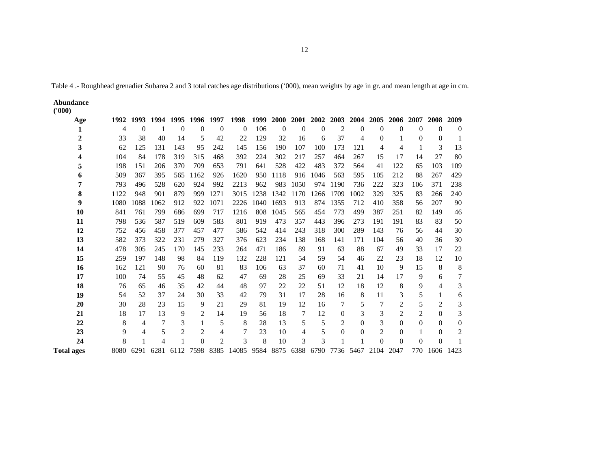Table 4 .- Roughhead grenadier Subarea 2 and 3 total catches age distributions ('000), mean weights by age in gr. and mean length at age in cm.

**Abundance ('000)** 

| Age               | 1992 |                | 1993 1994 1995 1996 1997 |                |                |                | 1998                                                              |     |           |          |      |                |                |                | 1999 2000 2001 2002 2003 2004 2005 2006 2007 |                | 2008           | 2009         |
|-------------------|------|----------------|--------------------------|----------------|----------------|----------------|-------------------------------------------------------------------|-----|-----------|----------|------|----------------|----------------|----------------|----------------------------------------------|----------------|----------------|--------------|
|                   | 4    | $\theta$       |                          | $\Omega$       | $\Omega$       | $\Omega$       | $\Omega$                                                          | 106 | $\Omega$  | $\Omega$ | 0    | 2              | $\overline{0}$ | $\Omega$       | $\Omega$                                     | $\Omega$       | $\Omega$       | $\mathbf{0}$ |
|                   | 33   | 38             | 40                       | 14             | 5              | 42             | 22                                                                | 129 | 32        | 16       | 6    | 37             | $\overline{4}$ | $\Omega$       | 1                                            | $\Omega$       | $\Omega$       | 1            |
|                   | 62   | 125            | 131                      | 143            | 95             | 242            | 145                                                               | 156 | 190       | 107      | 100  | 173            | 121            | 4              | 4                                            |                | 3              | 13           |
|                   | 104  | 84             | 178                      | 319            | 315            | 468            | 392                                                               | 224 | 302       | 217      | 257  | 464            | 267            | 15             | 17                                           | 14             | 27             | 80           |
|                   | 198  | 151            | 206                      | 370            | 709            | 653            | 791                                                               | 641 | 528       | 422      | 483  | 372            | 564            | 41             | 122                                          | 65             | 103            | 109          |
|                   | 509  | 367            | 395                      | 565            | 1162           | 926            | 1620                                                              | 950 | 1118      | 916      | 1046 | 563            | 595            | 105            | 212                                          | 88             | 267            | 429          |
|                   | 793  | 496            | 528                      | 620            | 924            | 992            | 2213                                                              | 962 | 983       | 1050     | 974  | 1190           | 736            | 222            | 323                                          | 106            | 371            | 238          |
|                   | 1122 | 948            | 901                      | 879            | 999            | 1271           | 3015                                                              |     | 1238 1342 | 1170     | 1266 | 1709           | 1002           | 329            | 325                                          | 83             | 266            | 240          |
| 9                 | 1080 | 1088           | 1062                     | 912            | 922            | 1071           | 2226                                                              |     | 1040 1693 | 913      | 874  | 1355           | 712            | 410            | 358                                          | 56             | 207            | 90           |
| 10                | 841  | 761            | 799                      | 686            | 699            | 717            | 1216                                                              | 808 | 1045      | 565      | 454  | 773            | 499            | 387            | 251                                          | 82             | 149            | 46           |
| 11                | 798  | 536            | 587                      | 519            | 609            | 583            | 801                                                               | 919 | 473       | 357      | 443  | 396            | 273            | 191            | 191                                          | 83             | 83             | 50           |
| 12                | 752  | 456            | 458                      | 377            | 457            | 477            | 586                                                               | 542 | 414       | 243      | 318  | 300            | 289            | 143            | 76                                           | 56             | 44             | 30           |
| 13                | 582  | 373            | 322                      | 231            | 279            | 327            | 376                                                               | 623 | 234       | 138      | 168  | 141            | 171            | 104            | 56                                           | 40             | 36             | 30           |
| 14                | 478  | 305            | 245                      | 170            | 145            | 233            | 264                                                               | 471 | 186       | 89       | 91   | 63             | 88             | 67             | 49                                           | 33             | 17             | 22           |
| 15                | 259  | 197            | 148                      | 98             | 84             | 119            | 132                                                               | 228 | 121       | 54       | 59   | 54             | 46             | 22             | 23                                           | 18             | 12             | 10           |
| 16                | 162  | 121            | 90                       | 76             | 60             | 81             | 83                                                                | 106 | 63        | 37       | 60   | 71             | 41             | 10             | 9                                            | 15             | 8              | 8            |
| 17                | 100  | 74             | 55                       | 45             | 48             | 62             | 47                                                                | 69  | 28        | 25       | 69   | 33             | 21             | 14             | 17                                           | 9              | 6              | 7            |
| 18                | 76   | 65             | 46                       | 35             | 42             | 44             | 48                                                                | 97  | 22        | 22       | 51   | 12             | 18             | 12             | 8                                            | 9              | $\overline{4}$ | 3            |
| 19                | 54   | 52             | 37                       | 24             | 30             | 33             | 42                                                                | 79  | 31        | 17       | 28   | 16             | 8              | 11             | 3                                            | 5              |                | 6            |
| 20                | 30   | 28             | 23                       | 15             | 9              | 21             | 29                                                                | 81  | 19        | 12       | 16   | 7              | 5              | 7              | $\overline{2}$                               | 5              | $\overline{2}$ | 3            |
| 21                | 18   | 17             | 13                       | 9              | 2              | 14             | 19                                                                | 56  | 18        | 7        | 12   | $\mathbf{0}$   | 3              | 3              | $\overline{2}$                               | $\overline{2}$ | $\Omega$       | 3            |
| 22                | 8    | $\overline{4}$ | 7                        | 3              | 1              | 5              | 8                                                                 | 28  | 13        | 5        | 5    | $\overline{2}$ | $\overline{0}$ | 3              | $\theta$                                     | $\Omega$       | $\mathbf{0}$   | $\theta$     |
| 23                | 9    | 4              | 5                        | $\overline{2}$ | $\overline{2}$ | 4              | $\overline{7}$                                                    | 23  | 10        | 4        | 5    | $\Omega$       | $\theta$       | $\overline{c}$ | $\theta$                                     |                | $\theta$       | 2            |
| 24                | 8    | 1              | 4                        | 1              | $\Omega$       | $\overline{c}$ | 3                                                                 | 8   | 10        | 3        | 3    |                | 1              | $\Omega$       | $\Omega$                                     | $\Omega$       | $\theta$       |              |
| <b>Total ages</b> |      | 8080 6291      |                          |                |                |                | 6281 6112 7598 8385 14085 9584 8875 6388 6790 7736 5467 2104 2047 |     |           |          |      |                |                |                |                                              | 770            | 1606           | 1423         |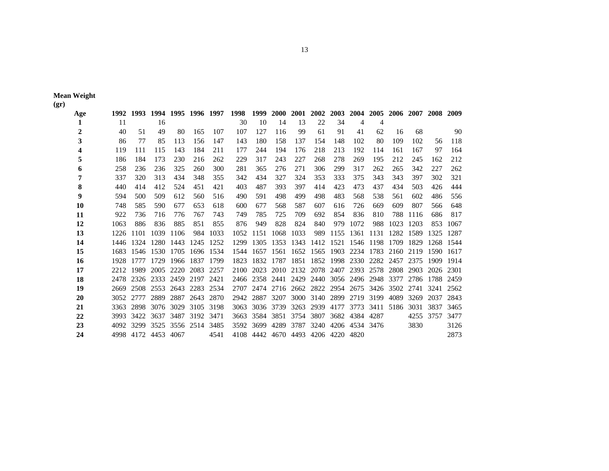|                 | <b>Mean Weight</b> |
|-----------------|--------------------|
| $(\mathbf{gr})$ |                    |

**(gr)** 

| Age | 1992 | 1993           |           | 1994 1995 1996 1997 |      |      | 1998 | 1999      | <b>2000</b> |      | 2001 2002 2003 2004 2005 2006 2007 2008 2009 |           |                |                          |      |      |           |           |
|-----|------|----------------|-----------|---------------------|------|------|------|-----------|-------------|------|----------------------------------------------|-----------|----------------|--------------------------|------|------|-----------|-----------|
| 1   | 11   |                | 16        |                     |      |      | 30   | 10        | 14          | 13   | 22                                           | 34        | 4              | 4                        |      |      |           |           |
| 2   | 40   | 51             | 49        | 80                  | 165  | 107  | 107  | 127       | 116         | 99   | 61                                           | 91        | 41             | 62                       | 16   | 68   |           | 90        |
| 3   | 86   | 77             | 85        | 113                 | 156  | 147  | 143  | 180       | 158         | 137  | 154                                          | 148       | 102            | 80                       | 109  | 102  | 56        | 118       |
| 4   | 119  | 111            | 115       | 143                 | 184  | 211  | 177  | 244       | 194         | 176  | 218                                          | 213       | 192            | 114                      | 161  | 167  | 97        | 164       |
| 5   | 186  | 184            | 173       | 230                 | 216  | 262  | 229  | 317       | 243         | 227  | 268                                          | 278       | 269            | 195                      | 212  | 245  | 162       | 212       |
| 6   | 258  | 236            | 236       | 325                 | 260  | 300  | 281  | 365       | 276         | 271  | 306                                          | 299       | 317            | 262                      | 265  | 342  | 227       | 262       |
| 7   | 337  | 320            | 313       | 434                 | 348  | 355  | 342  | 434       | 327         | 324  | 353                                          | 333       | 375            | 343                      | 343  | 397  | 302       | 321       |
| 8   | 440  | 414            | 412       | 524                 | 451  | 421  | 403  | 487       | 393         | 397  | 414                                          | 423       | 473            | 437                      | 434  | 503  | 426       | 444       |
| 9   | 594  | 500            | 509       | 612                 | 560  | 516  | 490  | 591       | 498         | 499  | 498                                          | 483       | 568            | 538                      | 561  | 602  | 486       | 556       |
| 10  | 748  | 585            | 590       | 677                 | 653  | 618  | 600  | 677       | 568         | 587  | 607                                          | 616       | 726            | 669                      | 609  | 807  | 566       | 648       |
| 11  | 922  | 736            | 716       | 776                 | 767  | 743  | 749  | 785       | 725         | 709  | 692                                          | 854       | 836            | 810                      | 788  | 1116 | 686       | 817       |
| 12  | 1063 | 886            | 836       | 885                 | 851  | 855  | 876  | 949       | 828         | 824  | 840                                          | 979       | 1072           | 988                      | 1023 | 1203 | 853       | 1067      |
| 13  | 1226 | 1101           | 1039      | 1106                | 984  | 1033 | 1052 | 1151      | 1068        | 1033 | 989                                          | 1155      | 1361           | 1131                     | 1282 | 1589 | 1325      | 1287      |
| 14  | 1446 | 1324           | 1280      | 1443                | 1245 | 1252 | 1299 | 1305      | 1353        | 1343 | 1412 1521                                    |           | 1546           | 1198                     | 1709 | 1829 |           | 1268 1544 |
| 15  | 1683 | 1546           | 1530      | 1705                | 1696 | 1534 | 1544 | 1657      | 1561        | 1652 | 1565 1903                                    |           | 2234 1783      |                          | 2160 | 2119 | 1590      | 1617      |
| 16  | 1928 | 1777           | 1729      | 1966                | 1837 | 1799 | 1823 | 1832      | 1787        | 1851 |                                              |           | 1852 1998 2330 | 2282 2457                |      | 2375 | 1909      | 1914      |
| 17  | 2212 | 1989           | 2005      | 2220                | 2083 | 2257 | 2100 | 2023      | 2010        | 2132 |                                              | 2078 2407 | 2393           | 2578                     | 2808 | 2903 | 2026      | 2301      |
| 18  | 2478 | 2326           | 2333 2459 |                     | 2197 | 2421 | 2466 |           | 2358 2441   | 2429 |                                              |           |                | 2440 3056 2496 2948 3377 |      | 2786 | 1788 2459 |           |
| 19  | 2669 | 2508           | 2553      | 2643                | 2283 | 2534 | 2707 | 2474      | 2716        | 2662 |                                              |           |                | 2822 2954 2675 3426 3502 |      | 2741 | 3241      | 2562      |
| 20  | 3052 | 2777           | 2889      | 2887                | 2643 | 2870 | 2942 | 2887      | 3207        | 3000 | 3140                                         | 2899      | 2719           | 3199                     | 4089 | 3269 | 2037      | 2843      |
| 21  | 3363 | 2898           | 3076      | 3029                | 3105 | 3198 | 3063 | 3036      | 3739        | 3263 | 2939                                         | 4177      | 3773           | 3411                     | 5186 | 3031 | 3837      | 3465      |
| 22  | 3993 | 3422           | 3637      | 3487                | 3192 | 3471 | 3663 | 3584      | 3851        | 3754 | 3807                                         |           | 3682 4384 4287 |                          |      | 4255 | 3757      | 3477      |
| 23  | 4092 | 3299           | 3525      | 3556                | 2514 | 3485 | 3592 | 3699      | 4289        | 3787 | 3240                                         | 4206      | 4534 3476      |                          |      | 3830 |           | 3126      |
| 24  |      | 4998 4172 4453 |           | 4067                |      | 4541 |      | 4108 4442 |             |      | 4670 4493 4206 4220 4820                     |           |                |                          |      |      |           | 2873      |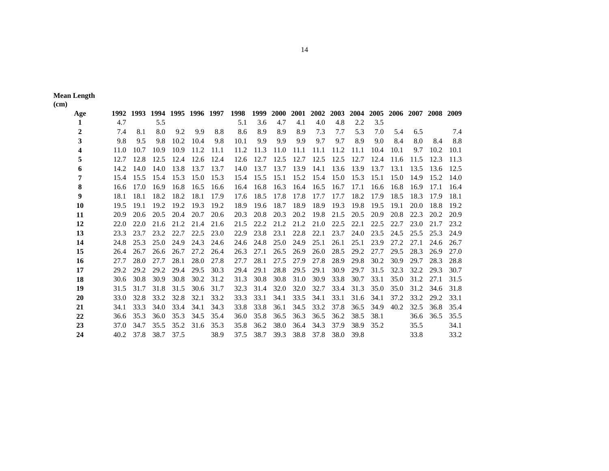|                   | <b>Mean Length</b> |
|-------------------|--------------------|
| (c <sub>m</sub> ) |                    |

**(cm)** 

| Age | 1992 | 1993 |      |      | 1994 1995 1996 1997 |      | 1998 | 1999 | <b>2000</b> | 2001 |      |      | 2002 2003 2004 2005 2006 2007 2008 2009 |      |      |      |      |      |
|-----|------|------|------|------|---------------------|------|------|------|-------------|------|------|------|-----------------------------------------|------|------|------|------|------|
| 1   | 4.7  |      | 5.5  |      |                     |      | 5.1  | 3.6  | 4.7         | 4.1  | 4.0  | 4.8  | 2.2                                     | 3.5  |      |      |      |      |
| 2   | 7.4  | 8.1  | 8.0  | 9.2  | 9.9                 | 8.8  | 8.6  | 8.9  | 8.9         | 8.9  | 7.3  | 7.7  | 5.3                                     | 7.0  | 5.4  | 6.5  |      | 7.4  |
| 3   | 9.8  | 9.5  | 9.8  | 10.2 | 10.4                | 9.8  | 10.1 | 9.9  | 9.9         | 9.9  | 9.7  | 9.7  | 8.9                                     | 9.0  | 8.4  | 8.0  | 8.4  | 8.8  |
| 4   | 11.0 | 10.7 | 10.9 | 10.9 | 11.2                | 11.1 | 11.2 | 11.3 | 11.0        | 11.1 | 11.1 | 11.2 | 11.1                                    | 10.4 | 10.1 | 9.7  | 10.2 | 10.1 |
| 5   | 12.7 | 12.8 | 12.5 | 12.4 | 12.6                | 12.4 | 12.6 | 12.7 | 12.5        | 12.7 | 12.5 | 12.5 | 12.7                                    | 12.4 | 11.6 | 11.5 | 12.3 | 11.3 |
| 6   | 14.2 | 14.0 | 14.0 | 13.8 | 13.7                | 13.7 | 14.0 | 13.7 | 13.7        | 13.9 | 14.1 | 13.6 | 13.9                                    | 13.7 | 13.1 | 13.5 | 13.6 | 12.5 |
| 7   | 15.4 | 15.5 | 15.4 | 15.3 | 15.0                | 15.3 | 15.4 | 15.5 | 15.1        | 15.2 | 15.4 | 15.0 | 15.3                                    | 15.1 | 15.0 | 14.9 | 15.2 | 14.0 |
| 8   | 16.6 | 17.0 | 16.9 | 16.8 | 16.5                | 16.6 | 16.4 | 16.8 | 16.3        | 16.4 | 16.5 | 16.7 | 17.1                                    | 16.6 | 16.8 | 16.9 | 17.1 | 16.4 |
| 9   | 18.1 | 18.1 | 18.2 | 18.2 | 18.1                | 17.9 | 17.6 | 18.5 | 17.8        | 17.8 | 17.7 | 17.7 | 18.2                                    | 17.9 | 18.5 | 18.3 | 17.9 | 18.1 |
| 10  | 19.5 | 19.1 | 19.2 | 19.2 | 19.3                | 19.2 | 18.9 | 19.6 | 18.7        | 18.9 | 18.9 | 19.3 | 19.8                                    | 19.5 | 19.1 | 20.0 | 18.8 | 19.2 |
| 11  | 20.9 | 20.6 | 20.5 | 20.4 | 20.7                | 20.6 | 20.3 | 20.8 | 20.3        | 20.2 | 19.8 | 21.5 | 20.5                                    | 20.9 | 20.8 | 22.3 | 20.2 | 20.9 |
| 12  | 22.0 | 22.0 | 21.6 | 21.2 | 21.4                | 21.6 | 21.5 | 22.2 | 21.2        | 21.2 | 21.0 | 22.5 | 22.1                                    | 22.5 | 22.7 | 23.0 | 21.7 | 23.2 |
| 13  | 23.3 | 23.7 | 23.2 | 22.7 | 22.5                | 23.0 | 22.9 | 23.8 | 23.1        | 22.8 | 22.1 | 23.7 | 24.0                                    | 23.5 | 24.5 | 25.5 | 25.3 | 24.9 |
| 14  | 24.8 | 25.3 | 25.0 | 24.9 | 24.3                | 24.6 | 24.6 | 24.8 | 25.0        | 24.9 | 25.1 | 26.1 | 25.1                                    | 23.9 | 27.2 | 27.1 | 24.6 | 26.7 |
| 15  | 26.4 | 26.7 | 26.6 | 26.7 | 27.2                | 26.4 | 26.3 | 27.1 | 26.5        | 26.9 | 26.0 | 28.5 | 29.2                                    | 27.7 | 29.5 | 28.3 | 26.9 | 27.0 |
| 16  | 27.7 | 28.0 | 27.7 | 28.1 | 28.0                | 27.8 | 27.7 | 28.1 | 27.5        | 27.9 | 27.8 | 28.9 | 29.8                                    | 30.2 | 30.9 | 29.7 | 28.3 | 28.8 |
| 17  | 29.2 | 29.2 | 29.2 | 29.4 | 29.5                | 30.3 | 29.4 | 29.1 | 28.8        | 29.5 | 29.1 | 30.9 | 29.7                                    | 31.5 | 32.3 | 32.2 | 29.3 | 30.7 |
| 18  | 30.6 | 30.8 | 30.9 | 30.8 | 30.2                | 31.2 | 31.3 | 30.8 | 30.8        | 31.0 | 30.9 | 33.8 | 30.7                                    | 33.1 | 35.0 | 31.2 | 27.1 | 31.5 |
| 19  | 31.5 | 31.7 | 31.8 | 31.5 | 30.6                | 31.7 | 32.3 | 31.4 | 32.0        | 32.0 | 32.7 | 33.4 | 31.3                                    | 35.0 | 35.0 | 31.2 | 34.6 | 31.8 |
| 20  | 33.0 | 32.8 | 33.2 | 32.8 | 32.1                | 33.2 | 33.3 | 33.1 | 34.1        | 33.5 | 34.1 | 33.1 | 31.6                                    | 34.1 | 37.2 | 33.2 | 29.2 | 33.1 |
| 21  | 34.1 | 33.3 | 34.0 | 33.4 | 34.1                | 34.3 | 33.8 | 33.8 | 36.1        | 34.5 | 33.2 | 37.8 | 36.5                                    | 34.9 | 40.2 | 32.5 | 36.8 | 35.4 |
| 22  | 36.6 | 35.3 | 36.0 | 35.3 | 34.5                | 35.4 | 36.0 | 35.8 | 36.5        | 36.3 | 36.5 | 36.2 | 38.5                                    | 38.1 |      | 36.6 | 36.5 | 35.5 |
| 23  | 37.0 | 34.7 | 35.5 | 35.2 | 31.6                | 35.3 | 35.8 | 36.2 | 38.0        | 36.4 | 34.3 | 37.9 | 38.9                                    | 35.2 |      | 35.5 |      | 34.1 |
| 24  | 40.2 | 37.8 | 38.7 | 37.5 |                     | 38.9 | 37.5 | 38.7 | 39.3        | 38.8 | 37.8 | 38.0 | 39.8                                    |      |      | 33.8 |      | 33.2 |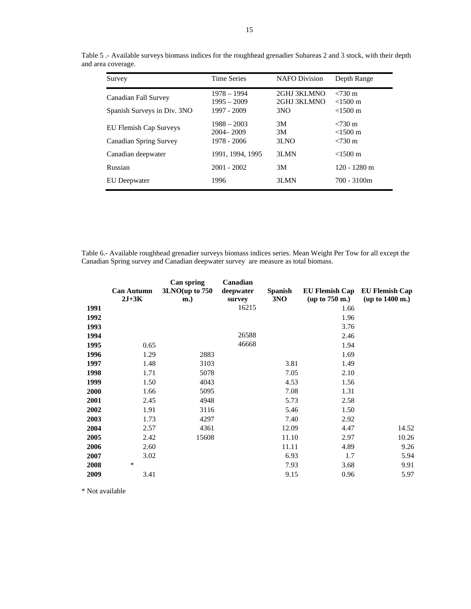| Survey                                                         | <b>Time Series</b>                            | <b>NAFO</b> Division                          | Depth Range                                                   |
|----------------------------------------------------------------|-----------------------------------------------|-----------------------------------------------|---------------------------------------------------------------|
| Canadian Fall Survey<br>Spanish Surveys in Div. 3NO            | $1978 - 1994$<br>$1995 - 2009$<br>1997 - 2009 | 2GHJ 3KLMNO<br>2GHJ 3KLMNO<br>3 <sub>NO</sub> | $< 730 \text{ m}$<br>$< 1500 \text{ m}$<br>$< 1500 \text{ m}$ |
| <b>EU Flemish Cap Surveys</b><br><b>Canadian Spring Survey</b> | $1988 - 2003$<br>$2004 - 2009$<br>1978 - 2006 | 3M<br>3M<br>3LNO                              | $< 730 \text{ m}$<br>$< 1500 \text{ m}$<br>$< 730 \text{ m}$  |
| Canadian deepwater                                             | 1991, 1994, 1995                              | 3LMN                                          | $< 1500 \text{ m}$                                            |
| Russian                                                        | $2001 - 2002$                                 | 3M                                            | $120 - 1280$ m                                                |
| EU Deepwater                                                   | 1996                                          | 3LMN                                          | $700 - 3100m$                                                 |

Table 5 .- Available surveys biomass indices for the roughhead grenadier Subareas 2 and 3 stock, with their depth and area coverage.

Table 6.- Available roughhead grenadier surveys biomass indices series. Mean Weight Per Tow for all except the Canadian Spring survey and Canadian deepwater survey are measure as total biomass.

|             | <b>Can Autumn</b><br>$2J+3K$ | Can spring<br>$3LNO$ (up to $750$<br>$\mathbf{m}$ .) | Canadian<br>deepwater<br>survey | <b>Spanish</b><br>3NO | <b>EU Flemish Cap</b><br>up to 750 m. | <b>EU Flemish Cap</b><br>up to 1400 m.) |
|-------------|------------------------------|------------------------------------------------------|---------------------------------|-----------------------|---------------------------------------|-----------------------------------------|
| 1991        |                              |                                                      | 16215                           |                       | 1.66                                  |                                         |
| 1992        |                              |                                                      |                                 |                       | 1.96                                  |                                         |
| 1993        |                              |                                                      |                                 |                       | 3.76                                  |                                         |
| 1994        |                              |                                                      | 26588                           |                       | 2.46                                  |                                         |
| 1995        | 0.65                         |                                                      | 46668                           |                       | 1.94                                  |                                         |
| 1996        | 1.29                         | 2883                                                 |                                 |                       | 1.69                                  |                                         |
| 1997        | 1.48                         | 3103                                                 |                                 | 3.81                  | 1.49                                  |                                         |
| 1998        | 1.71                         | 5078                                                 |                                 | 7.05                  | 2.10                                  |                                         |
| 1999        | 1.50                         | 4043                                                 |                                 | 4.53                  | 1.56                                  |                                         |
| <b>2000</b> | 1.66                         | 5095                                                 |                                 | 7.08                  | 1.31                                  |                                         |
| 2001        | 2.45                         | 4948                                                 |                                 | 5.73                  | 2.58                                  |                                         |
| 2002        | 1.91                         | 3116                                                 |                                 | 5.46                  | 1.50                                  |                                         |
| 2003        | 1.73                         | 4297                                                 |                                 | 7.40                  | 2.92                                  |                                         |
| 2004        | 2.57                         | 4361                                                 |                                 | 12.09                 | 4.47                                  | 14.52                                   |
| 2005        | 2.42                         | 15608                                                |                                 | 11.10                 | 2.97                                  | 10.26                                   |
| 2006        | 2.60                         |                                                      |                                 | 11.11                 | 4.89                                  | 9.26                                    |
| 2007        | 3.02                         |                                                      |                                 | 6.93                  | 1.7                                   | 5.94                                    |
| 2008        | $\ast$                       |                                                      |                                 | 7.93                  | 3.68                                  | 9.91                                    |
| 2009        | 3.41                         |                                                      |                                 | 9.15                  | 0.96                                  | 5.97                                    |

\* Not available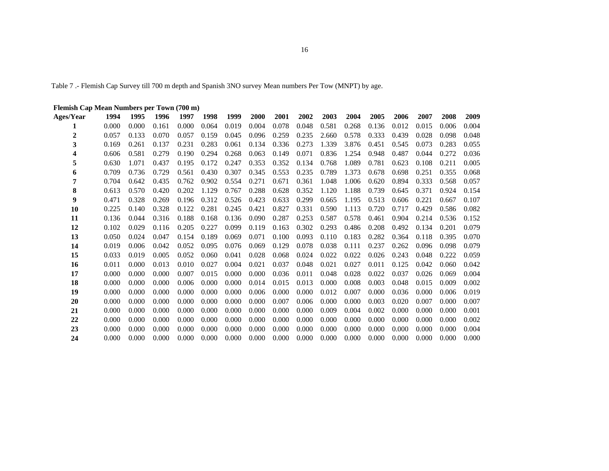Table 7 .- Flemish Cap Survey till 700 m depth and Spanish 3NO survey Mean numbers Per Tow (MNPT) by age.

| Flemish Cap Mean Numbers per Town (700 m) |       |       |       |       |       |       |       |       |       |       |       |       |       |       |       |       |
|-------------------------------------------|-------|-------|-------|-------|-------|-------|-------|-------|-------|-------|-------|-------|-------|-------|-------|-------|
| Ages/Year                                 | 1994  | 1995  | 1996  | 1997  | 1998  | 1999  | 2000  | 2001  | 2002  | 2003  | 2004  | 2005  | 2006  | 2007  | 2008  | 2009  |
|                                           | 0.000 | 0.000 | 0.161 | 0.000 | 0.064 | 0.019 | 0.004 | 0.078 | 0.048 | 0.581 | 0.268 | 0.136 | 0.012 | 0.015 | 0.006 | 0.004 |
| 2                                         | 0.057 | 0.133 | 0.070 | 0.057 | 0.159 | 0.045 | 0.096 | 0.259 | 0.235 | 2.660 | 0.578 | 0.333 | 0.439 | 0.028 | 0.098 | 0.048 |
| 3                                         | 0.169 | 0.261 | 0.137 | 0.231 | 0.283 | 0.061 | 0.134 | 0.336 | 0.273 | 1.339 | 3.876 | 0.451 | 0.545 | 0.073 | 0.283 | 0.055 |
| 4                                         | 0.606 | 0.581 | 0.279 | 0.190 | 0.294 | 0.268 | 0.063 | 0.149 | 0.071 | 0.836 | 1.254 | 0.948 | 0.487 | 0.044 | 0.272 | 0.036 |
| 5                                         | 0.630 | 1.071 | 0.437 | 0.195 | 0.172 | 0.247 | 0.353 | 0.352 | 0.134 | 0.768 | 1.089 | 0.781 | 0.623 | 0.108 | 0.211 | 0.005 |
| 6                                         | 0.709 | 0.736 | 0.729 | 0.561 | 0.430 | 0.307 | 0.345 | 0.553 | 0.235 | 0.789 | 1.373 | 0.678 | 0.698 | 0.251 | 0.355 | 0.068 |
| 7                                         | 0.704 | 0.642 | 0.435 | 0.762 | 0.902 | 0.554 | 0.271 | 0.671 | 0.361 | 1.048 | 1.006 | 0.620 | 0.894 | 0.333 | 0.568 | 0.057 |
| 8                                         | 0.613 | 0.570 | 0.420 | 0.202 | 1.129 | 0.767 | 0.288 | 0.628 | 0.352 | 1.120 | 1.188 | 0.739 | 0.645 | 0.371 | 0.924 | 0.154 |
| 9                                         | 0.471 | 0.328 | 0.269 | 0.196 | 0.312 | 0.526 | 0.423 | 0.633 | 0.299 | 0.665 | 1.195 | 0.513 | 0.606 | 0.221 | 0.667 | 0.107 |
| 10                                        | 0.225 | 0.140 | 0.328 | 0.122 | 0.281 | 0.245 | 0.421 | 0.827 | 0.331 | 0.590 | 1.113 | 0.720 | 0.717 | 0.429 | 0.586 | 0.082 |
| 11                                        | 0.136 | 0.044 | 0.316 | 0.188 | 0.168 | 0.136 | 0.090 | 0.287 | 0.253 | 0.587 | 0.578 | 0.461 | 0.904 | 0.214 | 0.536 | 0.152 |
| 12                                        | 0.102 | 0.029 | 0.116 | 0.205 | 0.227 | 0.099 | 0.119 | 0.163 | 0.302 | 0.293 | 0.486 | 0.208 | 0.492 | 0.134 | 0.201 | 0.079 |
| 13                                        | 0.050 | 0.024 | 0.047 | 0.154 | 0.189 | 0.069 | 0.071 | 0.100 | 0.093 | 0.110 | 0.183 | 0.282 | 0.364 | 0.118 | 0.395 | 0.070 |
| 14                                        | 0.019 | 0.006 | 0.042 | 0.052 | 0.095 | 0.076 | 0.069 | 0.129 | 0.078 | 0.038 | 0.111 | 0.237 | 0.262 | 0.096 | 0.098 | 0.079 |
| 15                                        | 0.033 | 0.019 | 0.005 | 0.052 | 0.060 | 0.041 | 0.028 | 0.068 | 0.024 | 0.022 | 0.022 | 0.026 | 0.243 | 0.048 | 0.222 | 0.059 |
| 16                                        | 0.011 | 0.000 | 0.013 | 0.010 | 0.027 | 0.004 | 0.021 | 0.037 | 0.048 | 0.021 | 0.027 | 0.011 | 0.125 | 0.042 | 0.060 | 0.042 |
| 17                                        | 0.000 | 0.000 | 0.000 | 0.007 | 0.015 | 0.000 | 0.000 | 0.036 | 0.011 | 0.048 | 0.028 | 0.022 | 0.037 | 0.026 | 0.069 | 0.004 |
| 18                                        | 0.000 | 0.000 | 0.000 | 0.006 | 0.000 | 0.000 | 0.014 | 0.015 | 0.013 | 0.000 | 0.008 | 0.003 | 0.048 | 0.015 | 0.009 | 0.002 |
| 19                                        | 0.000 | 0.000 | 0.000 | 0.000 | 0.000 | 0.000 | 0.006 | 0.000 | 0.000 | 0.012 | 0.007 | 0.000 | 0.036 | 0.000 | 0.006 | 0.019 |
| 20                                        | 0.000 | 0.000 | 0.000 | 0.000 | 0.000 | 0.000 | 0.000 | 0.007 | 0.006 | 0.000 | 0.000 | 0.003 | 0.020 | 0.007 | 0.000 | 0.007 |
| 21                                        | 0.000 | 0.000 | 0.000 | 0.000 | 0.000 | 0.000 | 0.000 | 0.000 | 0.000 | 0.009 | 0.004 | 0.002 | 0.000 | 0.000 | 0.000 | 0.001 |
| 22                                        | 0.000 | 0.000 | 0.000 | 0.000 | 0.000 | 0.000 | 0.000 | 0.000 | 0.000 | 0.000 | 0.000 | 0.000 | 0.000 | 0.000 | 0.000 | 0.002 |
| 23                                        | 0.000 | 0.000 | 0.000 | 0.000 | 0.000 | 0.000 | 0.000 | 0.000 | 0.000 | 0.000 | 0.000 | 0.000 | 0.000 | 0.000 | 0.000 | 0.004 |
| 24                                        | 0.000 | 0.000 | 0.000 | 0.000 | 0.000 | 0.000 | 0.000 | 0.000 | 0.000 | 0.000 | 0.000 | 0.000 | 0.000 | 0.000 | 0.000 | 0.000 |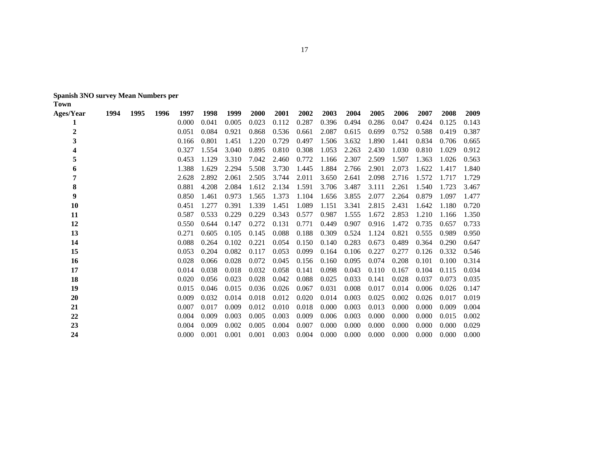|  | Spanish 3NO survey Mean Numbers per |
|--|-------------------------------------|
|--|-------------------------------------|

| <b>Ages/Year</b> | 1994 | 1995 | 1996 | 1997  | 1998  | 1999  | 2000  | 2001  | 2002  | 2003  | 2004  | 2005  | 2006  | 2007  | 2008  | 2009  |
|------------------|------|------|------|-------|-------|-------|-------|-------|-------|-------|-------|-------|-------|-------|-------|-------|
|                  |      |      |      | 0.000 | 0.041 | 0.005 | 0.023 | 0.112 | 0.287 | 0.396 | 0.494 | 0.286 | 0.047 | 0.424 | 0.125 | 0.143 |
| $\overline{2}$   |      |      |      | 0.051 | 0.084 | 0.921 | 0.868 | 0.536 | 0.661 | 2.087 | 0.615 | 0.699 | 0.752 | 0.588 | 0.419 | 0.387 |
| 3                |      |      |      | 0.166 | 0.801 | 1.451 | 1.220 | 0.729 | 0.497 | 1.506 | 3.632 | 1.890 | 1.441 | 0.834 | 0.706 | 0.665 |
| 4                |      |      |      | 0.327 | 1.554 | 3.040 | 0.895 | 0.810 | 0.308 | 1.053 | 2.263 | 2.430 | 1.030 | 0.810 | 1.029 | 0.912 |
| 5                |      |      |      | 0.453 | 1.129 | 3.310 | 7.042 | 2.460 | 0.772 | 1.166 | 2.307 | 2.509 | 1.507 | 1.363 | 1.026 | 0.563 |
| 6                |      |      |      | 1.388 | 1.629 | 2.294 | 5.508 | 3.730 | 1.445 | 1.884 | 2.766 | 2.901 | 2.073 | 1.622 | 1.417 | 1.840 |
| 7                |      |      |      | 2.628 | 2.892 | 2.061 | 2.505 | 3.744 | 2.011 | 3.650 | 2.641 | 2.098 | 2.716 | 1.572 | 1.717 | 1.729 |
| 8                |      |      |      | 0.881 | 4.208 | 2.084 | 1.612 | 2.134 | 1.591 | 3.706 | 3.487 | 3.111 | 2.261 | 1.540 | 1.723 | 3.467 |
| 9                |      |      |      | 0.850 | 1.461 | 0.973 | 1.565 | 1.373 | 1.104 | 1.656 | 3.855 | 2.077 | 2.264 | 0.879 | 1.097 | 1.477 |
| 10               |      |      |      | 0.451 | 1.277 | 0.391 | 1.339 | 1.451 | 1.089 | 1.151 | 3.341 | 2.815 | 2.431 | 1.642 | 1.180 | 0.720 |
| 11               |      |      |      | 0.587 | 0.533 | 0.229 | 0.229 | 0.343 | 0.577 | 0.987 | 1.555 | 1.672 | 2.853 | 1.210 | 1.166 | 1.350 |
| 12               |      |      |      | 0.550 | 0.644 | 0.147 | 0.272 | 0.131 | 0.771 | 0.449 | 0.907 | 0.916 | 1.472 | 0.735 | 0.657 | 0.733 |
| 13               |      |      |      | 0.271 | 0.605 | 0.105 | 0.145 | 0.088 | 0.188 | 0.309 | 0.524 | 1.124 | 0.821 | 0.555 | 0.989 | 0.950 |
| 14               |      |      |      | 0.088 | 0.264 | 0.102 | 0.221 | 0.054 | 0.150 | 0.140 | 0.283 | 0.673 | 0.489 | 0.364 | 0.290 | 0.647 |
| 15               |      |      |      | 0.053 | 0.204 | 0.082 | 0.117 | 0.053 | 0.099 | 0.164 | 0.106 | 0.227 | 0.277 | 0.126 | 0.332 | 0.546 |
| 16               |      |      |      | 0.028 | 0.066 | 0.028 | 0.072 | 0.045 | 0.156 | 0.160 | 0.095 | 0.074 | 0.208 | 0.101 | 0.100 | 0.314 |
| 17               |      |      |      | 0.014 | 0.038 | 0.018 | 0.032 | 0.058 | 0.141 | 0.098 | 0.043 | 0.110 | 0.167 | 0.104 | 0.115 | 0.034 |
| 18               |      |      |      | 0.020 | 0.056 | 0.023 | 0.028 | 0.042 | 0.088 | 0.025 | 0.033 | 0.141 | 0.028 | 0.037 | 0.073 | 0.035 |
| 19               |      |      |      | 0.015 | 0.046 | 0.015 | 0.036 | 0.026 | 0.067 | 0.031 | 0.008 | 0.017 | 0.014 | 0.006 | 0.026 | 0.147 |
| 20               |      |      |      | 0.009 | 0.032 | 0.014 | 0.018 | 0.012 | 0.020 | 0.014 | 0.003 | 0.025 | 0.002 | 0.026 | 0.017 | 0.019 |
| 21               |      |      |      | 0.007 | 0.017 | 0.009 | 0.012 | 0.010 | 0.018 | 0.000 | 0.003 | 0.013 | 0.000 | 0.000 | 0.009 | 0.004 |
| 22               |      |      |      | 0.004 | 0.009 | 0.003 | 0.005 | 0.003 | 0.009 | 0.006 | 0.003 | 0.000 | 0.000 | 0.000 | 0.015 | 0.002 |
| 23               |      |      |      | 0.004 | 0.009 | 0.002 | 0.005 | 0.004 | 0.007 | 0.000 | 0.000 | 0.000 | 0.000 | 0.000 | 0.000 | 0.029 |
| 24               |      |      |      | 0.000 | 0.001 | 0.001 | 0.001 | 0.003 | 0.004 | 0.000 | 0.000 | 0.000 | 0.000 | 0.000 | 0.000 | 0.000 |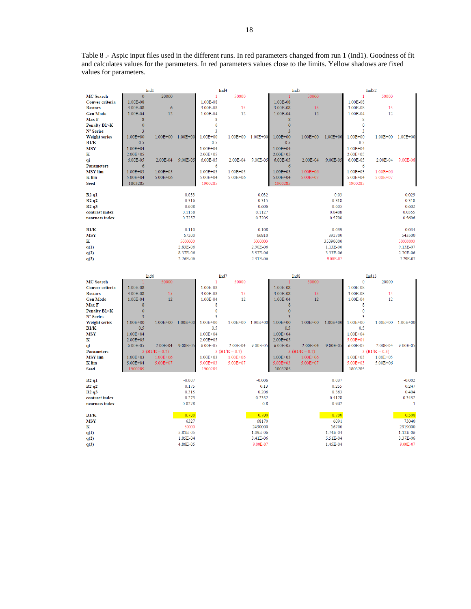Table 8 .- Aspic input files used in the different runs. In red parameters changed from run 1 (Ind1). Goodness of fit and calculates values for the parameters. In red parameters values close to the limits. Yellow shadows are fixed values for parameters.

|                        | Ind1             |                   |                      |              | Ind <sub>4</sub>   |                      |                         | Ind <sub>5</sub>   |                      |              | Ind52             |                      |
|------------------------|------------------|-------------------|----------------------|--------------|--------------------|----------------------|-------------------------|--------------------|----------------------|--------------|-------------------|----------------------|
| <b>MC</b> Search       | $\mathbf{0}$     | 20000             |                      | 1            | 50000              |                      |                         | 50000              |                      | $\mathbf{1}$ | 50000             |                      |
| Conver criteria        | 1.00E-08         |                   |                      | 1.00E-08     |                    |                      | 1.00E-08                |                    |                      | 1.00E-08     |                   |                      |
| <b>Restars</b>         | 3.00E-08         | 6                 |                      | 3.00E-08     | 15                 |                      | 3.00E-08                | 15                 |                      | 3.00E-08     | 15                |                      |
| <b>Gen Mode</b>        | 1.00E-04         | 12                |                      | 1.00E-04     | 12                 |                      | 1.00E-04                | 12                 |                      | 1.00E-04     | 12                |                      |
| Max F                  | 8                |                   |                      | 8            |                    |                      | 8                       |                    |                      | 8            |                   |                      |
| <b>Penalty B1&gt;K</b> | $\mathbf{0}$     |                   |                      | $\mathbf 0$  |                    |                      | $\mathbf{0}$            |                    |                      | $\mathbf 0$  |                   |                      |
| N° Series              | $\overline{3}$   |                   |                      | 3            |                    |                      | $\overline{\mathbf{3}}$ |                    |                      | 3            |                   |                      |
| <b>Weight series</b>   | $1.00E + 00$     | $1.00E + 00$      | $1.00E + 00$         | $1.00E + 00$ | 1.00E+00 1.00E+00  |                      | $1.00E + 00$            | $1.00E + 00$       | $1.00E + 00$         | $1.00E + 00$ | $1.00E + 00$      | 1.00E+00             |
| B1/K                   | 0.5              |                   |                      | 0.5          |                    |                      | 0.5                     |                    |                      | 0.5          |                   |                      |
| <b>MSY</b>             | $1.00E + 04$     |                   |                      | $1.00E + 04$ |                    |                      | $1.00E + 04$            |                    |                      | $1.00E + 04$ |                   |                      |
| K                      | $2.00E + 05$     |                   |                      | $2.00E + 05$ |                    |                      | $2.00E + 05$            |                    |                      | $2.00E + 05$ |                   |                      |
|                        |                  |                   |                      | 6.00E-05     |                    |                      |                         |                    |                      |              |                   | 9.00E-06             |
| qi                     | $6.00E - 05$     | 2.00E-04          | 9.00E-05             |              | 2.00E-04           | 9.00E-05             | $6.00E - 05$            | 2.00E-04           | 9.00E-05             | 6.00E-05     | 2.00E-04          |                      |
| <b>Parameters</b>      | 6                |                   |                      | 6            |                    |                      | $\sigma$                |                    |                      | 6            |                   |                      |
| <b>MSY</b> lim         | $1.00E + 03$     | $1.00E + 05$      |                      | $1.00E + 03$ | 1.00E+05           |                      | $1.00E + 03$            | $1.00E + 06$       |                      | $1.00E + 03$ | $1.00E + 06$      |                      |
| K lim                  | $5.00E + 04$     | $5.00E + 06$      |                      | $5.00E + 04$ | $5.00E + 06$       |                      | $5.00E + 04$            | $5.00E + 07$       |                      | $5.00E + 04$ | $5.00E + 07$      |                      |
| <b>Seed</b>            | 1803285          |                   |                      | 1900285      |                    |                      | 1900285                 |                    |                      | 1900285      |                   |                      |
|                        |                  |                   |                      |              |                    |                      |                         |                    |                      |              |                   |                      |
| R2q1                   |                  |                   | $-0.033$             |              |                    | $-0.032$             |                         |                    | $-0.03$              |              |                   | $-0.029$             |
| R2q2                   |                  |                   | 0.316                |              |                    | 0.315                |                         |                    | 0.318                |              |                   | 0.318                |
| R2q3                   |                  |                   | 0.608                |              |                    | 0.606                |                         |                    | 0.605                |              |                   | 0.602                |
| contrast index         |                  |                   | 0.1158               |              |                    | 0.1127               |                         |                    | 0.0408               |              |                   | 0.0355               |
| nearness index         |                  |                   | 0.7257               |              |                    | 0.7205               |                         |                    | 0.5798               |              |                   | 0.5696               |
|                        |                  |                   |                      |              |                    |                      |                         |                    |                      |              |                   |                      |
| B1/K                   |                  |                   | 0.110                |              |                    | 0.108                |                         |                    | 0.039                |              |                   | 0.034                |
| <b>MSY</b>             |                  |                   | 67200                |              |                    | 66810                |                         |                    | 392700               |              |                   | 543500               |
| K                      |                  |                   | 5000000              |              |                    | 5000000              |                         |                    | 35390000             |              |                   | 50000000             |
| q(1)                   |                  |                   | 2.83E-06             |              |                    | 2.90E-06             |                         |                    | 1.13E-06             |              |                   | 9.13E-07             |
| q(2)                   |                  |                   | 8.37E-06             |              |                    | 8.57E-06             |                         |                    | 3.33E-06             |              |                   | 2.70E-06             |
| q(3)                   |                  |                   | 2.26E-06             |              |                    | 2.31E-06             |                         |                    | 9.00E-07             |              |                   | 7.29E-07             |
|                        |                  |                   |                      |              |                    |                      |                         |                    |                      |              |                   |                      |
|                        |                  |                   |                      |              |                    |                      |                         |                    |                      |              |                   |                      |
|                        |                  |                   |                      |              |                    |                      |                         |                    |                      |              |                   |                      |
|                        | Ind <sub>6</sub> |                   |                      |              | Ind7               |                      |                         | Ind <sub>8</sub>   |                      |              | Ind13             |                      |
| <b>MC</b> Search       |                  | 50000             |                      | 1            | 50000              |                      |                         | 50000              |                      | $\mathbf 0$  | 20000             |                      |
| Conver criteria        | 1.00E-08         |                   |                      | 1.00E-08     |                    |                      | 1.00E-08                |                    |                      | 1.00E-08     |                   |                      |
| <b>Restars</b>         | 3.00E-08         | 15                |                      | 3.00E-08     | 15                 |                      | 3.00E-08                | 15                 |                      | 3.00E-08     | 15                |                      |
| <b>Gen Mode</b>        | 1.00E-04         | 12                |                      | 1.00E-04     | 12                 |                      | 1.00E-04                | 12                 |                      | 1.00E-04     | 12                |                      |
| Max F                  | 8                |                   |                      | 8            |                    |                      | 8                       |                    |                      | 8            |                   |                      |
| <b>Penalty B1&gt;K</b> | $\mathbf 0$      |                   |                      | $\mathbf{0}$ |                    |                      | $\overline{0}$          |                    |                      | $\mathbf 0$  |                   |                      |
| N° Series              | 3                |                   |                      | 3            |                    |                      | $\overline{\mathbf{3}}$ |                    |                      | 3            |                   |                      |
| <b>Weight series</b>   | $1.00E + 00$     | 1.00E+00 1.00E+00 |                      | $1.00E + 00$ | 1.00E+00 1.00E+00  |                      | $1.00E + 00$            | $1.00E + 00$       | $1.00E + 00$         | $1.00E + 00$ | 1.00E+00          | 1.00E+00             |
| B1/K                   | 0.5              |                   |                      | 0.5          |                    |                      | 0.5                     |                    |                      | 0.5          |                   |                      |
| <b>MSY</b>             | $1.00E + 04$     |                   |                      | $1.00E + 04$ |                    |                      | $1.00E + 04$            |                    |                      | $1.00E + 04$ |                   |                      |
| к                      | $2.00E + 05$     |                   |                      | 2.00E+05     |                    |                      | $2.00E + 05$            |                    |                      | $5.00E + 04$ |                   |                      |
|                        | 6.00E-05         | 2.00E-04          | 9.00E-05             | 6.00E-05     | 2.00E-04           | 9.00E-05             | 6.00E-05                | 2.00E-04           | 9.00E-05             | 6.00E-05     | 2.00E-04          | 9.00E-05             |
| qi                     |                  |                   |                      |              |                    |                      |                         |                    |                      |              |                   |                      |
| <b>Parameters</b>      |                  | 5 (B1/K = 0.7)    |                      |              | 5 ( $B1/K = 0.7$ ) |                      |                         | 5 ( $B1/K = 0.7$ ) |                      |              | 5 (B1/K = $0.5$ ) |                      |
| <b>MSY</b> lim         | $1.00E + 03$     | $1.00E + 06$      |                      | $1.00E + 03$ | $1.00E + 06$       |                      | $1.00E + 03$            | $1.00E + 06$       |                      | $1.00E + 03$ | $1.00E + 05$      |                      |
| K lim                  | $5.00E + 04$     | $5.00E + 07$      |                      | $5.00E + 03$ | $5.00E + 07$       |                      | $5.00E + 03$            | $5.00E + 07$       |                      | $5.00E + 03$ | $5.00E + 06$      |                      |
| <b>Seed</b>            | 1900285          |                   |                      | 1900285      |                    |                      | 1803285                 |                    |                      | 1803285      |                   |                      |
|                        |                  |                   |                      |              |                    |                      |                         |                    |                      |              |                   |                      |
| R2q1                   |                  |                   | $-0.007$             |              |                    | $-0.006$             |                         |                    | 0.037                |              |                   | $-0.002$             |
| R2q2                   |                  |                   | 0.175                |              |                    | 0.13                 |                         |                    | 0.255                |              |                   | 0.247                |
| R2q3                   |                  |                   | 0.315                |              |                    | 0.206                |                         |                    | 0.363                |              |                   | 0.404                |
| contrast index         |                  |                   | 0.273                |              |                    | 0.2352               |                         |                    | 0.4128               |              |                   | 0.3452               |
| nearness index         |                  |                   | 0.8278               |              |                    | 0.8                  |                         |                    | 0.942                |              |                   | 1                    |
|                        |                  |                   |                      |              |                    |                      |                         |                    |                      |              |                   |                      |
| B1/K                   |                  |                   | 0.700                |              |                    | 0.700                |                         |                    | 0.700                |              |                   | 0.500                |
| <b>MSY</b>             |                  |                   | 6327                 |              |                    | 68170                |                         |                    | 6091                 |              |                   | 73040                |
| к                      |                  |                   | 50000                |              |                    | 2430000              |                         |                    | 16700                |              |                   | 2919000              |
| q(1)                   |                  |                   | 5.81E-05             |              |                    | 1.09E-06             |                         |                    | 1.74E-04             |              |                   | 1.12E-06             |
| q(2)<br>q(3)           |                  |                   | 1.85E-04<br>4.86E-05 |              |                    | 3.41E-06<br>9.00E-07 |                         |                    | 5.51E-04<br>1.45E-04 |              |                   | 3.37E-06<br>9.00E-07 |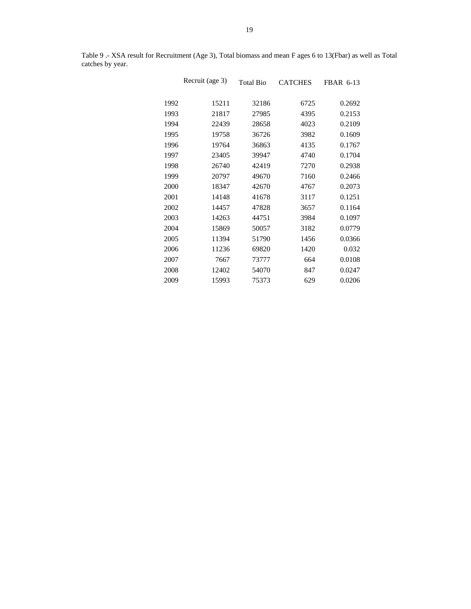|      | Recruit (age 3) | <b>Total Bio</b> | <b>CATCHES</b> | FBAR 6-13 |
|------|-----------------|------------------|----------------|-----------|
| 1992 | 15211           | 32186            | 6725           | 0.2692    |
| 1993 | 21817           | 27985            | 4395           | 0.2153    |
| 1994 | 22439           | 28658            | 4023           | 0.2109    |
| 1995 | 19758           | 36726            | 3982           | 0.1609    |
| 1996 | 19764           | 36863            | 4135           | 0.1767    |
| 1997 | 23405           | 39947            | 4740           | 0.1704    |
| 1998 | 26740           | 42419            | 7270           | 0.2938    |
| 1999 | 20797           | 49670            | 7160           | 0.2466    |
| 2000 | 18347           | 42670            | 4767           | 0.2073    |
| 2001 | 14148           | 41678            | 3117           | 0.1251    |
| 2002 | 14457           | 47828            | 3657           | 0.1164    |
| 2003 | 14263           | 44751            | 3984           | 0.1097    |
| 2004 | 15869           | 50057            | 3182           | 0.0779    |
| 2005 | 11394           | 51790            | 1456           | 0.0366    |
| 2006 | 11236           | 69820            | 1420           | 0.032     |
| 2007 | 7667            | 73777            | 664            | 0.0108    |
| 2008 | 12402           | 54070            | 847            | 0.0247    |
| 2009 | 15993           | 75373            | 629            | 0.0206    |

Table 9 .- XSA result for Recruitment (Age 3), Total biomass and mean F ages 6 to 13(Fbar) as well as Total catches by year.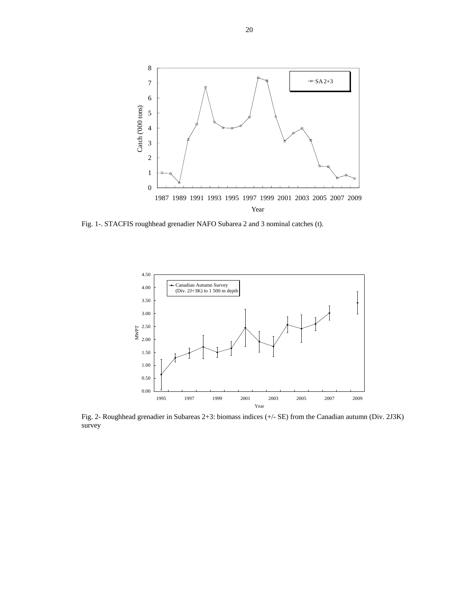

Fig. 1-. STACFIS roughhead grenadier NAFO Subarea 2 and 3 nominal catches (t).



Fig. 2- Roughhead grenadier in Subareas 2+3: biomass indices (+/- SE) from the Canadian autumn (Div. 2J3K) survey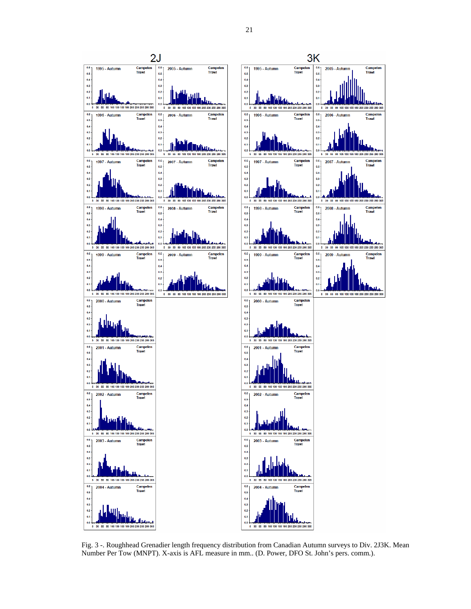

Fig. 3 -. Roughhead Grenadier length frequency distribution from Canadian Autumn surveys to Div. 2J3K. Mean Number Per Tow (MNPT). X-axis is AFL measure in mm.. (D. Power, DFO St. John's pers. comm.).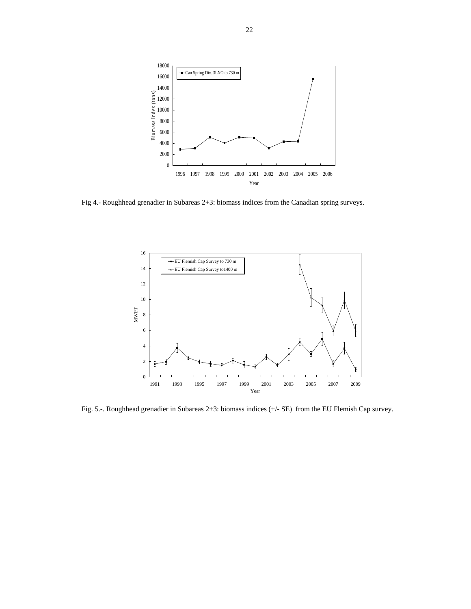

Fig 4.- Roughhead grenadier in Subareas 2+3: biomass indices from the Canadian spring surveys.



Fig. 5.-. Roughhead grenadier in Subareas 2+3: biomass indices (+/- SE) from the EU Flemish Cap survey.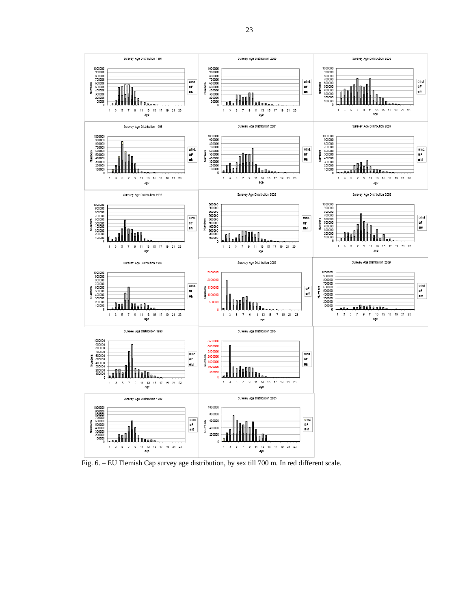

Fig. 6. – EU Flemish Cap survey age distribution, by sex till 700 m. In red different scale.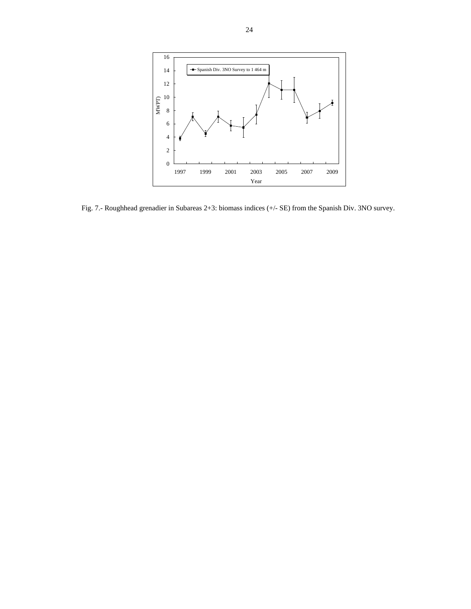

Fig. 7.- Roughhead grenadier in Subareas 2+3: biomass indices (+/- SE) from the Spanish Div. 3NO survey.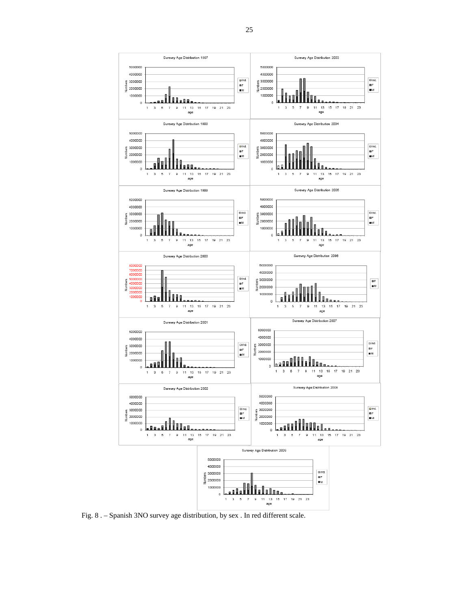

Fig. 8 . – Spanish 3NO survey age distribution, by sex . In red different scale.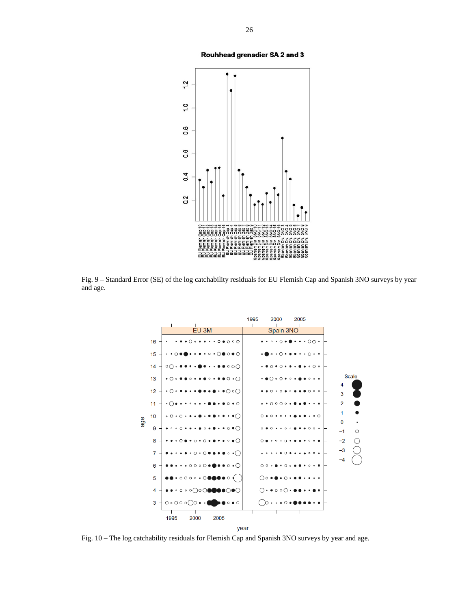



Fig. 9 – Standard Error (SE) of the log catchability residuals for EU Flemish Cap and Spanish 3NO surveys by year and age.



Fig. 10 – The log catchability residuals for Flemish Cap and Spanish 3NO surveys by year and age.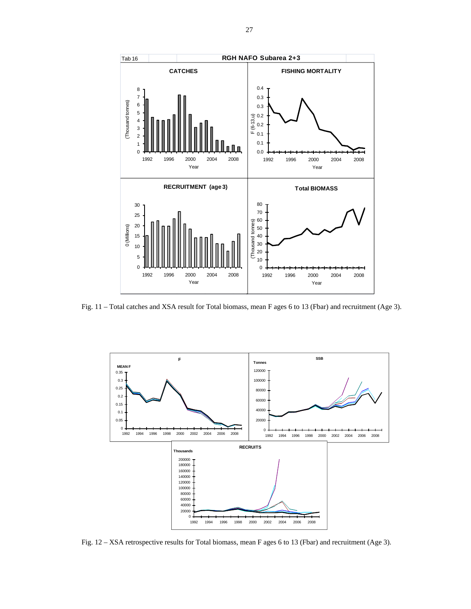

Fig. 11 – Total catches and XSA result for Total biomass, mean F ages 6 to 13 (Fbar) and recruitment (Age 3).



Fig. 12 – XSA retrospective results for Total biomass, mean F ages 6 to 13 (Fbar) and recruitment (Age 3).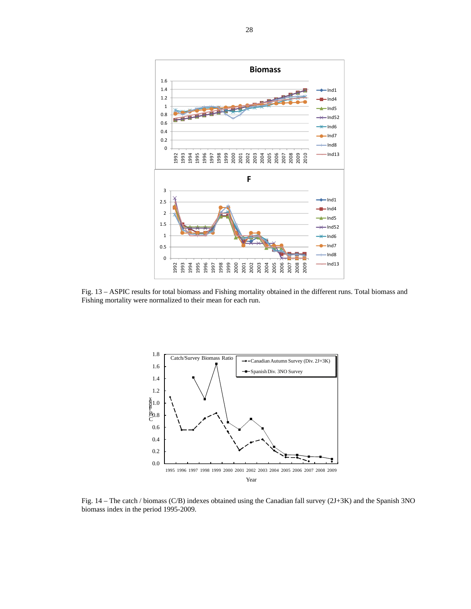

Fig. 13 – ASPIC results for total biomass and Fishing mortality obtained in the different runs. Total biomass and Fishing mortality were normalized to their mean for each run.



Fig. 14 – The catch / biomass (C/B) indexes obtained using the Canadian fall survey (2J+3K) and the Spanish 3NO biomass index in the period 1995-2009.